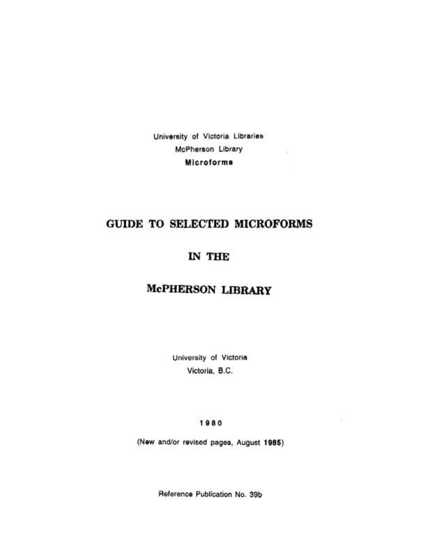University of Victoria Libraries McPherson Library  $\overline{a}$ Microforms

# GUIDE TO SELECTED MICROFORMS

# IN THE

# McPHERSON LIBRARY

University of Victoria Victoria, B.C.

1980

(New and/or revised pages, August 1985)

Reference Publication No. 39b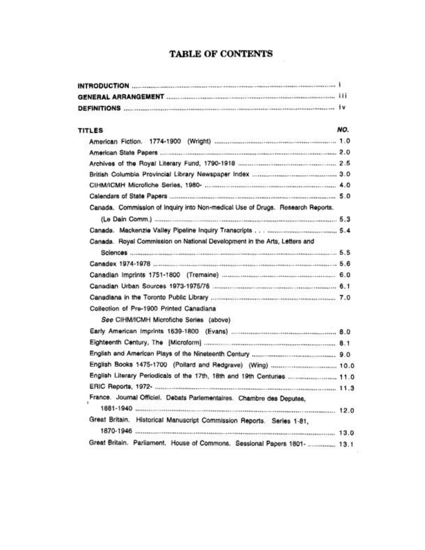## TABLE OF CONTENTS

| <b>TITLES</b>                                                                  | NO. |
|--------------------------------------------------------------------------------|-----|
|                                                                                |     |
|                                                                                |     |
|                                                                                |     |
|                                                                                |     |
|                                                                                |     |
|                                                                                |     |
| Canada. Commission of Inquiry into Non-medical Use of Drugs. Research Reports. |     |
|                                                                                |     |
|                                                                                |     |
| Canada. Royal Commission on National Development in the Arts, Letters and      |     |
|                                                                                |     |
|                                                                                |     |
|                                                                                |     |
|                                                                                |     |
|                                                                                |     |
| Collection of Pre-1900 Printed Canadiana                                       |     |
| See CIHM/ICMH Microfiche Series (above)                                        |     |
|                                                                                |     |
|                                                                                |     |
|                                                                                |     |
|                                                                                |     |
| English Literary Periodicals of the 17th, 18th and 19th Centuries  11.0        |     |
|                                                                                |     |
| France. Journal Officiel. Debats Parlementaires. Chambre des Deputes,          |     |
|                                                                                |     |
| Great Britain. Historical Manuscript Commission Reports. Series 1-81,          |     |
|                                                                                |     |
| Great Britain. Parliament. House of Commons. Sessional Papers 1801-  13.1      |     |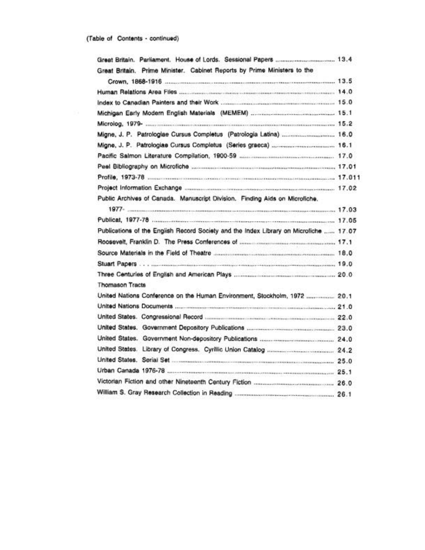| Great Britain. Prime Minister. Cabinet Reports by Prime Ministers to the              |  |
|---------------------------------------------------------------------------------------|--|
|                                                                                       |  |
|                                                                                       |  |
|                                                                                       |  |
|                                                                                       |  |
|                                                                                       |  |
| Migne, J. P. Patrologiae Cursus Completus (Patrologia Latina)  16.0                   |  |
|                                                                                       |  |
|                                                                                       |  |
|                                                                                       |  |
|                                                                                       |  |
|                                                                                       |  |
| Public Archives of Canada. Manuscript Division. Finding Aids on Microfiche.           |  |
|                                                                                       |  |
|                                                                                       |  |
| Publications of the English Record Society and the Index Library on Microfiche  17.07 |  |
|                                                                                       |  |
|                                                                                       |  |
|                                                                                       |  |
|                                                                                       |  |
| <b>Thomason Tracts</b>                                                                |  |
| United Nations Conference on the Human Environment, Stockholm, 1972  20.1             |  |
|                                                                                       |  |
|                                                                                       |  |
|                                                                                       |  |
|                                                                                       |  |
|                                                                                       |  |
|                                                                                       |  |
|                                                                                       |  |
|                                                                                       |  |
|                                                                                       |  |
|                                                                                       |  |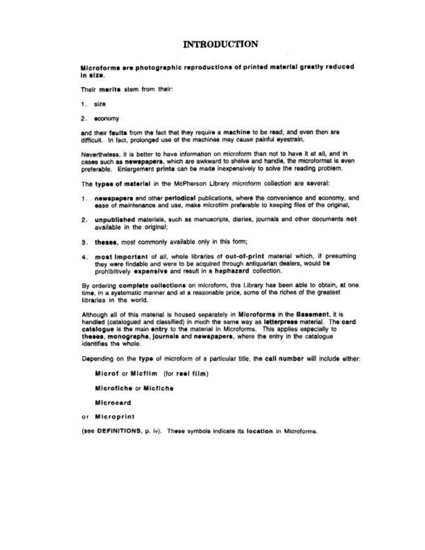#### **INTRODUCTION**

#### Microforms are photographic reproductions of printed material greatly reduced in size.

Their merits stem from their:

- 1. size
- 2. economy

and their faults from the fact that they require a machine to be read, and even then are difficult. In fact, prolonged use of the machines may cause painful evestrain.

Nevertheless, it is better to have information on microform than not to have it at all, and in cases such as newspapers, which are awkward to shelve and handle, the microformat is even preferable. Enlargement prints can be made inexpensively to solve the reading problem.

The types of material in the McPherson Library microform collection are several:

- 1. newspapers and other periodical publications, where the convenience and economy, and ease of maintenance and use, make microfilm preferable to keeping files of the original;
- 2. unpublished materials, such as manuscripts, diaries, journals and other documents not available in the original;
- 3. theses, most commonly available only in this form;
- 4. most important of all, whole libraries of out-of-print material which, if presuming they were findable and were to be acquired through antiquarian dealers, would be prohibitively expensive and result in a haphazard collection.

By ordering complete collections on microform, this Library has been able to obtain, at one time, in a systematic manner and at a reasonable price, some of the riches of the greatest libraries in the world.

Although all of this material is housed separately in Microforms in the Bassment, it is handled (catalogued and classified) in much the same way as letterpress material. The card catalogue is the main entry to the material in Microforms. This applies especially to theses, monographs, journals and newspapers, where the entry in the catalogue identifies the whole.

Depending on the type of microform of a particular title, the call number will include either:

Microf or Micfilm (for reel film)

Microfiche or Micfiche

Microcard

or Microprint

(see DEFINITIONS, p. iv). These symbols indicate its location in Microforms.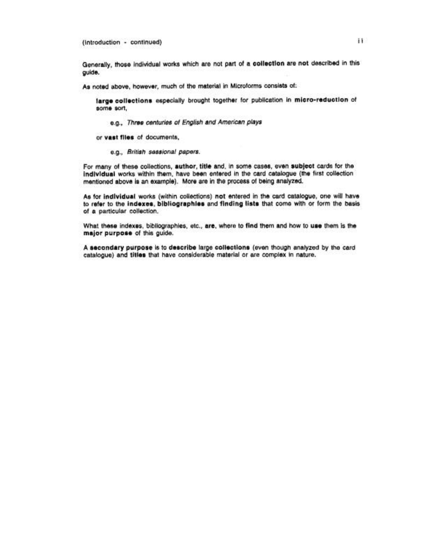(introduction - continued)

Generally, those individual works which are not part of a collection are not described in this guide.

As noted above, however, much of the material in Microforms consists of:

large collections especially brought together for publication in micro-reduction of some sort.

e.g., Three centuries of English and American plays

or vast files of documents,

e.g., British sessional papers.

For many of these collections, author, title and, in some cases, even subject cards for the individual works within them, have been entered in the card catalogue (the first collection mentioned above is an example). More are in the process of being analyzed.

As for individual works (within collections) not entered in the card catalogue, one will have to refer to the indexes, bibliographies and finding lists that come with or form the basis of a particular collection.

What these indexes, bibliographies, etc., are, where to find them and how to use them is the major purpose of this guide.

A secondary purpose is to describe large collections (even though analyzed by the card catalogue) and titles that have considerable material or are complex in nature.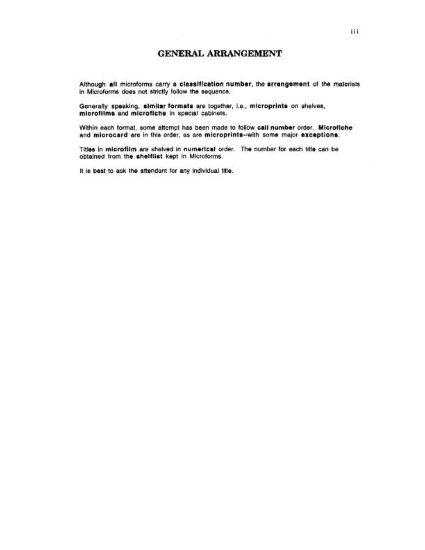Although all microforms carry a classification number, the arrangement of the materials in Microforms does not strictly follow the sequence.

Generally speaking, similar formats are together, i.e., microprints on shelves, microfilms and microfiche in special cabinets.

Within each format, some attempt has been made to follow call number order. Microfiche and microcard are in this order, as are microprints-with some major exceptions.

Titles in microfilm are shelved in numerical order. The number for each title can be obtained from the shelflist kept in Microforms.

It is best to ask the attendant for any individual title.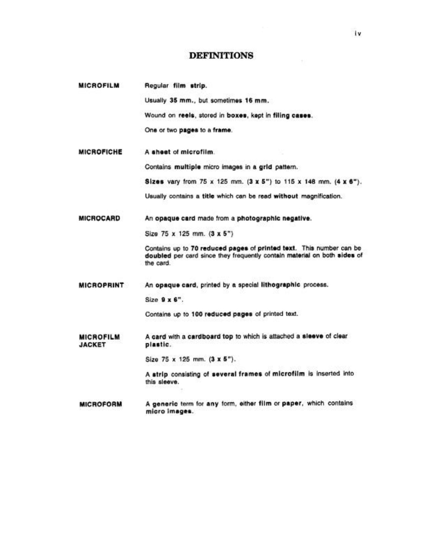## **DEFINITIONS**

| <b>MICROFILM</b>                  | Regular film strip.                                                                                                                                          |
|-----------------------------------|--------------------------------------------------------------------------------------------------------------------------------------------------------------|
|                                   | Usually 35 mm., but sometimes 16 mm.                                                                                                                         |
|                                   | Wound on reels, stored in boxes, kept in filing cases.                                                                                                       |
|                                   | One or two pages to a frame.                                                                                                                                 |
| <b>MICROFICHE</b>                 | A sheet of microfilm.                                                                                                                                        |
|                                   | Contains multiple micro images in a grid pattern.                                                                                                            |
|                                   | Sizes vary from 75 x 125 mm. (3 x 5") to 115 x 148 mm. (4 x 6").                                                                                             |
|                                   | Usually contains a title which can be read without magnification.                                                                                            |
| <b>MICROCARD</b>                  | An opaque card made from a photographic negative.                                                                                                            |
|                                   | Size 75 x 125 mm. (3 x 5")                                                                                                                                   |
|                                   | Contains up to 70 reduced pages of printed text. This number can be<br>doubled per card since they frequently contain material on both sides of<br>the card. |
| <b>MICROPRINT</b>                 | An opaque card, printed by a special lithographic process.                                                                                                   |
|                                   | Size 9 x 6".                                                                                                                                                 |
|                                   | Contains up to 100 reduced pages of printed text.                                                                                                            |
| <b>MICROFILM</b><br><b>JACKET</b> | A card with a cardboard top to which is attached a sleeve of clear<br>plastic.                                                                               |
|                                   | Size 75 x 125 mm. (3 x 5").                                                                                                                                  |
|                                   | A strip consisting of several frames of microfilm is inserted into<br>this sleeve.                                                                           |
| <b>MICROFORM</b>                  | A generic term for any form, either film or paper, which contains<br>micro images.                                                                           |

 $\tau$  :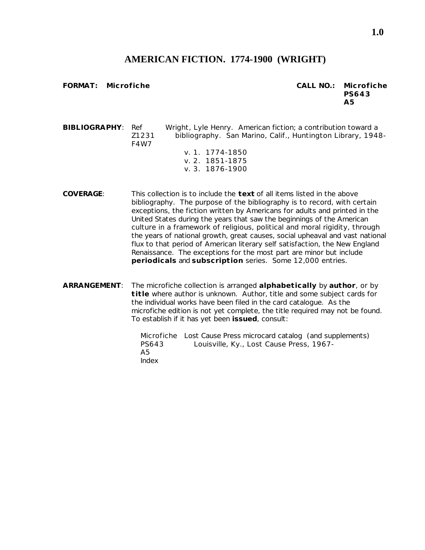## **AMERICAN FICTION. 1774-1900 (WRIGHT)**

**FORMAT: Microfiche CALL NO.: Microfiche PS643 A5**

**BIBLIOGRAPHY**: Ref Wright, Lyle Henry. *American fiction; a contribution toward a* Z1231 *bibliography*. San Marino, Calif., Huntington Library, 1948- F4W7 v. 1. 1774-1850 v. 2. 1851-1875

- v. 3. 1876-1900
- **COVERAGE**: This collection is to include the **text** of all items listed in the above bibliography. The purpose of the bibliography is to record, with certain exceptions, the fiction written by Americans for adults and printed in the United States during the years that saw the beginnings of the American culture in a framework of religious, political and moral rigidity, through the years of national growth, great causes, social upheaval and vast national flux to that period of American literary self satisfaction, the New England Renaissance. The exceptions for the most part are minor but include **periodicals** and **subscription** series. Some 12,000 entries.

**ARRANGEMENT**: The microfiche collection is arranged **alphabetically** by **author**, or by **title** where author is unknown. Author, title and some subject cards for the individual works have been filed in the card catalogue. As the microfiche edition is not yet complete, the title required may not be found. To establish if it has yet been **issued**, consult:

> Microfiche *Lost Cause Press microcard catalog* (and supplements) PS643 Louisville, Ky., Lost Cause Press, 1967- A5 Index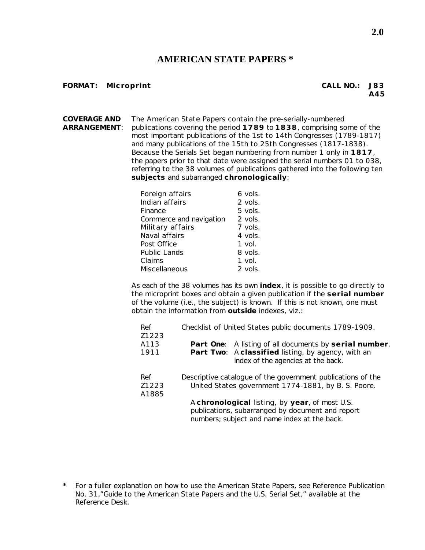#### **AMERICAN STATE PAPERS \***

#### **FORMAT: Microprint CALL NO.: J83**

**A45**

**COVERAGE AND** The American State Papers contain the pre-serially-numbered **ARRANGEMENT**: publications covering the period **1789** to **1838**, comprising some of the most important publications of the 1st to 14th Congresses (1789-1817) and many publications of the 15th to 25th Congresses (1817-1838). Because the Serials Set began numbering from number 1 only in **1817**, the papers prior to that date were assigned the serial numbers 01 to 038, referring to the 38 volumes of publications gathered into the following ten **subjects** and subarranged **chronologically**:

| Foreign affairs         | 6 vols.  |
|-------------------------|----------|
| Indian affairs          | 2 vols.  |
| Finance                 | 5 vols.  |
| Commerce and navigation | 2 vols.  |
| Military affairs        | 7 vols.  |
| Naval affairs           | 4 vols.  |
| Post Office             | 1 vol.   |
| <b>Public Lands</b>     | 8 vols.  |
| Claims                  | $1$ vol. |
| Miscellaneous           | 2 vols.  |

As each of the 38 volumes has its own **index**, it is possible to go directly to the microprint boxes and obtain a given publication if the **serial number** of the volume (i.e., the subject) is known. If this is not known, one must obtain the information from **outside** indexes, viz.:

| Ref<br>Z1223             | Checklist of United States public documents 1789-1909.                                                                                             |  |  |
|--------------------------|----------------------------------------------------------------------------------------------------------------------------------------------------|--|--|
| A <sub>113</sub><br>1911 | Part One: A listing of all documents by serial number.<br>Part Two: Aclassified listing, by agency, with an<br>index of the agencies at the back.  |  |  |
| Ref<br>Z1223<br>A1885    | Descriptive catalogue of the government publications of the<br>United States government 1774-1881, by B. S. Poore.                                 |  |  |
|                          | A chronological listing, by year, of most U.S.<br>publications, subarranged by document and report<br>numbers; subject and name index at the back. |  |  |

**<sup>\*</sup>** For a fuller explanation on how to use the American State Papers, see Reference Publication No. 31,"Guide to the American State Papers and the U.S. Serial Set," available at the Reference Desk.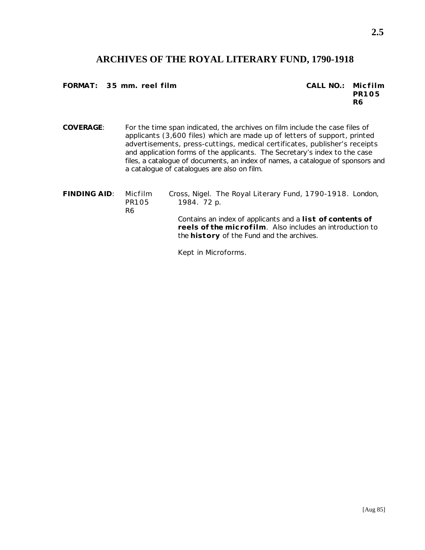## **ARCHIVES OF THE ROYAL LITERARY FUND, 1790-1918**

**FORMAT: 35 mm. reel film CALL NO.: Micfilm**

**PR105 R6**

**COVERAGE**: For the time span indicated, the archives on film include the case files of applicants (3,600 files) which are made up of letters of support, printed advertisements, press-cuttings, medical certificates, publisher's receipts and application forms of the applicants. The Secretary's index to the case files, a catalogue of documents, an index of names, a catalogue of sponsors and a catalogue of catalogues are also on film.

**FINDING AID**: Micfilm Cross, Nigel. *The Royal Literary Fund, 1790-1918*. London, PR105 1984. 72 p. R6 Contains an index of applicants and a **list of contents of reels of the microfilm**. Also includes an introduction to the **history** of the Fund and the archives.

Kept in Microforms.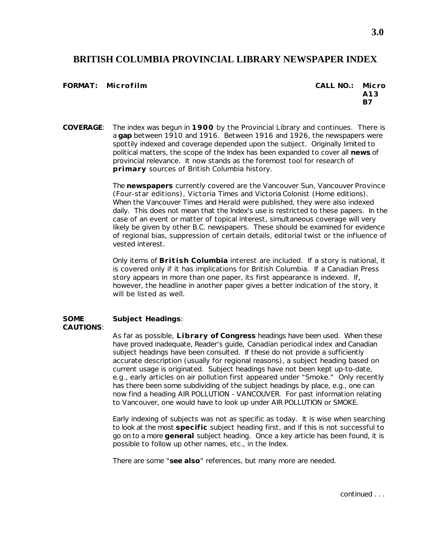#### **BRITISH COLUMBIA PROVINCIAL LIBRARY NEWSPAPER INDEX**

#### $FORMAT:$  Microfilm

| CALL NO.: | Micro |
|-----------|-------|
|           | A13   |
|           | B7    |

**COVERAGE**: The index was begun in **1900** by the Provincial Library and continues. There is a **gap** between 1910 and 1916. Between 1916 and 1926, the newspapers were spottily indexed and coverage depended upon the subject. Originally limited to political matters, the scope of the Index has been expanded to cover all **news** of provincial relevance. It now stands as the foremost tool for research of **primary** sources of British Columbia history.

> The **newspapers** currently covered are the Vancouver *Sun*, Vancouver *Province* (Four-star editions), Victoria *Times* and Victoria *Colonist* (Home editions). When the Vancouver *Times* and *Herald* were published, they were also indexed daily. This does not mean that the Index's use is restricted to these papers. In the case of an event or matter of topical interest, simultaneous coverage will very likely be given by other B.C. newspapers. These should be examined for evidence of regional bias, suppression of certain details, editorial twist or the influence of vested interest.

> Only items of **British Columbia** interest are included. If a story is national, it is covered only if it has implications for British Columbia. If a Canadian Press story appears in more than one paper, its first appearance is indexed. If, however, the headline in another paper gives a better indication of the story, it will be listed as well.

#### **SOME Subject Headings**: **CAUTIONS**:

As far as possible, **Library of Congress** headings have been used. When these have proved inadequate, *Reader's guide*, *Canadian periodical index* and *Canadian subject headings* have been consulted. If these do not provide a sufficiently accurate description (usually for regional reasons), a subject heading based on current usage is originated. Subject headings have not been kept up-to-date, e.g., early articles on air pollution first appeared under "Smoke." Only recently has there been some subdividing of the subject headings by place, e.g., one can now find a heading AIR POLLUTION - VANCOUVER. For past information relating to Vancouver, one would have to look up under AIR POLLUTION or SMOKE.

Early indexing of subjects was not as specific as today. It is wise when searching to look at the most **specific** subject heading first, and if this is not successful to go on to a more **general** subject heading. Once a key article has been found, it is possible to follow up other names, etc., in the Index.

There are some "**see also**" references, but many more are needed.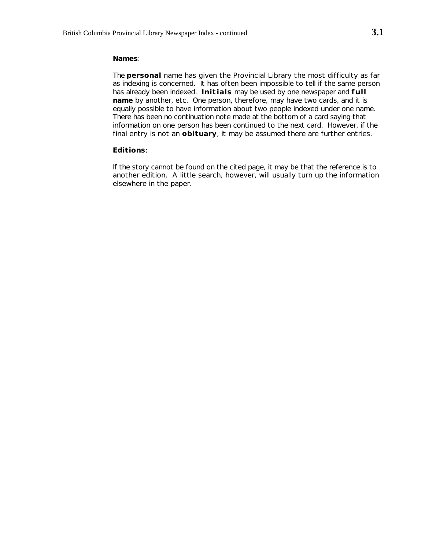#### **Names**:

The **personal** name has given the Provincial Library the most difficulty as far as indexing is concerned. It has often been impossible to tell if the same person has already been indexed. **Initials** may be used by one newspaper and **full name** by another, etc. One person, therefore, may have two cards, and it is equally possible to have information about two people indexed under one name. There has been no continuation note made at the bottom of a card saying that information on one person has been continued to the next card. However, if the final entry is not an **obituary**, it may be assumed there are further entries.

#### **Editions**:

If the story cannot be found on the cited page, it may be that the reference is to another edition. A little search, however, will usually turn up the information elsewhere in the paper.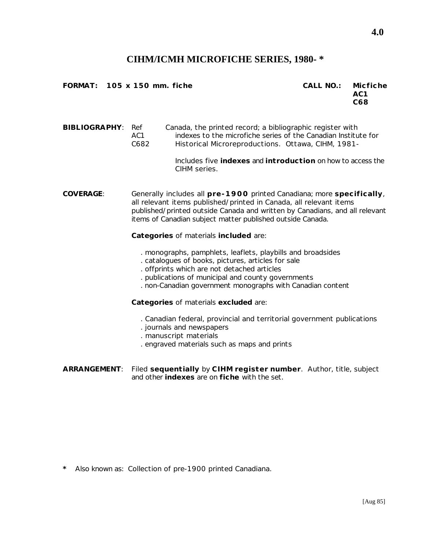#### **CIHM/ICMH MICROFICHE SERIES, 1980- \***

**FORMAT: 105 x 150 mm. fiche CALL NO.: Micfiche**

**AC1 C68**

**BIBLIOGRAPHY**: Ref *Canada, the printed record; a bibliographic register with* AC1 *indexes to the microfiche series of the Canadian Institute for* C682 *Historical Microreproductions*. Ottawa, CIHM, 1981-

> Includes five **indexes** and **introduction** on how to access the CIHM series.

**COVERAGE**: Generally includes all **pre-1900** printed Canadiana; more **specifically**, all relevant items published/printed in Canada, all relevant items published/printed outside Canada and written by Canadians, and all relevant items of Canadian subject matter published outside Canada.

**Categories** of materials **included** are:

- . monographs, pamphlets, leaflets, playbills and broadsides
- . catalogues of books, pictures, articles for sale
- . offprints which are not detached articles
- . publications of municipal and county governments
- . non-Canadian government monographs with Canadian content

**Categories** of materials **excluded** are:

- . Canadian federal, provincial and territorial government publications
- . journals and newspapers
- . manuscript materials
- . engraved materials such as maps and prints

**ARRANGEMENT**: Filed **sequentially** by **CIHM register number**. Author, title, subject and other **indexes** are on **fiche** with the set.

**\*** Also known as: *Collection of pre-1900 printed Canadiana*.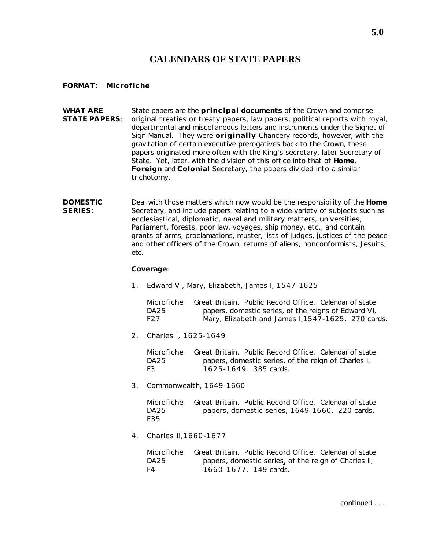## **CALENDARS OF STATE PAPERS**

#### **FORMAT: Microfiche**

**WHAT ARE** State papers are the **principal documents** of the Crown and comprise **STATE PAPERS**: original treaties or treaty papers, law papers, political reports with royal, departmental and miscellaneous letters and instruments under the Signet of Sign Manual. They were **originally** Chancery records, however, with the gravitation of certain executive prerogatives back to the Crown, these papers originated more often with the King's secretary, later Secretary of State. Yet, later, with the division of this office into that of **Home**, **Foreign** and **Colonial** Secretary, the papers divided into a similar trichotomy.

**DOMESTIC** Deal with those matters which now would be the responsibility of the **Home** SERIES: Secretary, and include papers relating to a wide variety of subjects such as ecclesiastical, diplomatic, naval and military matters, universities, Parliament, forests, poor law, voyages, ship money, etc., and contain grants of arms, proclamations, muster, lists of judges, justices of the peace and other officers of the Crown, returns of aliens, nonconformists, Jesuits, etc.

**Coverage**:

1. Edward VI, Mary, Elizabeth, James I, 1547-1625

Microfiche Great Britain. Public Record Office. *Calendar of state* DA25 *papers, domestic series, of the reigns of Edward VI,* F27 *Mary, Elizabeth and James I,1547-1625*. 270 cards.

2. Charles I, 1625-1649

Microfiche Great Britain. Public Record Office. *Calendar of state* DA25 *papers, domestic series, of the reign of Charles I,* F3 *1625-1649*. 385 cards.

3. Commonwealth, 1649-1660

Microfiche Great Britain. Public Record Office. *Calendar of state* DA25 *papers, domestic series, 1649-1660*. 220 cards. F35

4. Charles II,1660-1677

Microfiche Great Britain. Public Record Office. *Calendar of state* DA25 *papers, domestic series, of the reign of Charles II,*  F4 *1660-1677*. 149 cards.

continued . . .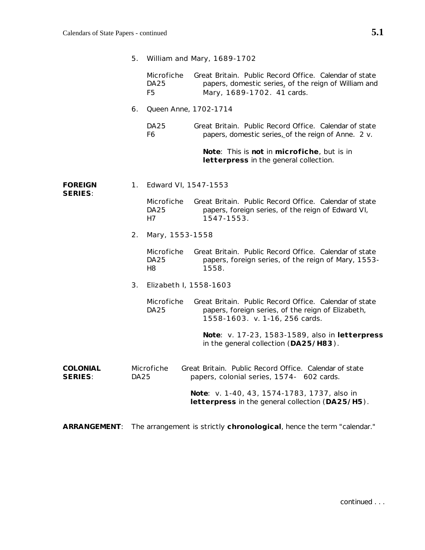|                                   | 5.          |                                 | William and Mary, 1689-1702                                                                                                                    |
|-----------------------------------|-------------|---------------------------------|------------------------------------------------------------------------------------------------------------------------------------------------|
|                                   |             | Microfiche<br><b>DA25</b><br>F5 | Great Britain. Public Record Office. Calendar of state<br>papers, domestic series, of the reign of William and<br>Mary, 1689-1702. 41 cards.   |
|                                   | 6.          | Queen Anne, 1702-1714           |                                                                                                                                                |
|                                   |             | DA <sub>25</sub><br>F6          | Great Britain. Public Record Office. Calendar of state<br>papers, domestic series, of the reign of Anne. 2 v.                                  |
|                                   |             |                                 | Note: This is not in microfiche, but is in<br>letterpress in the general collection.                                                           |
| <b>FOREIGN</b><br><b>SERIES:</b>  | 1.          | Edward VI, 1547-1553            |                                                                                                                                                |
|                                   |             | Microfiche<br>DA25<br>H7        | Great Britain. Public Record Office. Calendar of state<br>papers, foreign series, of the reign of Edward VI,<br>1547-1553.                     |
|                                   | 2.          | Mary, 1553-1558                 |                                                                                                                                                |
|                                   |             | Microfiche<br><b>DA25</b><br>H8 | Great Britain. Public Record Office. Calendar of state<br>papers, foreign series, of the reign of Mary, 1553-<br>1558.                         |
|                                   | 3.          | Elizabeth I, 1558-1603          |                                                                                                                                                |
|                                   |             | Microfiche<br><b>DA25</b>       | Great Britain. Public Record Office. Calendar of state<br>papers, foreign series, of the reign of Elizabeth,<br>1558-1603. v. 1-16, 256 cards. |
|                                   |             |                                 | Note: v. 17-23, 1583-1589, also in letterpress<br>in the general collection (DA25/H83).                                                        |
| <b>COLONIAL</b><br><b>SERIES:</b> | <b>DA25</b> | Microfiche                      | Great Britain. Public Record Office. Calendar of state<br>papers, colonial series, 1574- 602 cards.                                            |
|                                   |             |                                 | Note: v. 1-40, 43, 1574-1783, 1737, also in<br>letterpress in the general collection (DA25/H5).                                                |

**ARRANGEMENT**: The arrangement is strictly **chronological**, hence the term "calendar."

continued . . .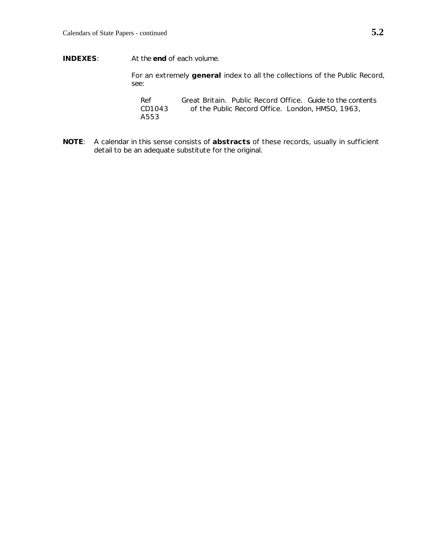**INDEXES**: At the **end** of each volume.

For an extremely **general** index to all the collections of the Public Record, see:

Ref Great Britain. Public Record Office. *Guide to the contents* CD1043 *of the Public Record Office*. London, HMSO, 1963, A553

**NOTE**: A calendar in this sense consists of **abstracts** of these records, usually in sufficient detail to be an adequate substitute for the original.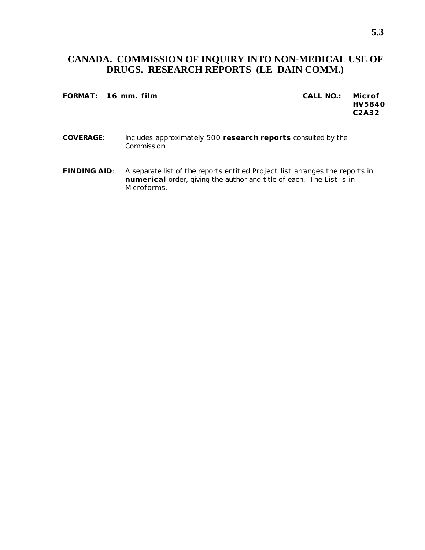## **CANADA. COMMISSION OF INQUIRY INTO NON-MEDICAL USE OF DRUGS. RESEARCH REPORTS (LE DAIN COMM.)**

#### **FORMAT: 16 mm. film CALL NO.: Microf**

**HV5840 C2A32**

- **COVERAGE**: Includes approximately 500 **research reports** consulted by the Commission.
- **FINDING AID**: A separate list of the reports entitled *Project list* arranges the reports in **numerical** order, giving the author and title of each. The *List* is in Microforms.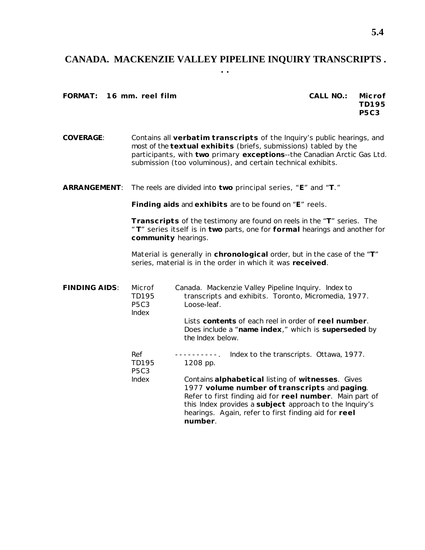#### **CANADA. MACKENZIE VALLEY PIPELINE INQUIRY TRANSCRIPTS . . .**

**FORMAT:** 16 mm. reel film

| CALL NO.: | Microf      |
|-----------|-------------|
|           | TD195       |
|           | <b>P5C3</b> |

**COVERAGE**: Contains all **verbatim transcripts** of the Inquiry's public hearings, and most of the **textual exhibits** (briefs, submissions) tabled by the participants, with **two** primary **exceptions**--the Canadian Arctic Gas Ltd. submission (too voluminous), and certain technical exhibits.

**ARRANGEMENT**: The reels are divided into **two** principal series, "**E**" and "**T**."

**Finding aids** and **exhibits** are to be found on "**E**" reels.

**Transcripts** of the testimony are found on reels in the "**T**" series. The " **T**" series itself is in **two** parts, one for **formal** hearings and another for **community** hearings.

Material is generally in **chronological** order, but in the case of the "**T**" series, material is in the order in which it was **received**.

| <b>FINDING AIDS:</b> | Microf<br>TD195<br><b>P5C3</b><br>Index | Canada. Mackenzie Valley Pipeline Inquiry. Index to<br>transcripts and exhibits. Toronto, Micromedia, 1977.<br>Loose-leaf.                                                                                                                                                                          |
|----------------------|-----------------------------------------|-----------------------------------------------------------------------------------------------------------------------------------------------------------------------------------------------------------------------------------------------------------------------------------------------------|
|                      |                                         | Lists contents of each reel in order of reel number.<br>Does include a "name index," which is superseded by<br>the <i>Index</i> below.                                                                                                                                                              |
|                      | Ref<br>TD195<br><b>P5C3</b>             | ----------. Index to the transcripts. Ottawa, 1977.<br>1208 pp.                                                                                                                                                                                                                                     |
|                      | Index                                   | Contains alphabetical listing of witnesses. Gives<br>1977 volume number of transcripts and paging.<br>Refer to first finding aid for reel number. Main part of<br>this <i>Index</i> provides a subject approach to the Inquiry's<br>hearings. Again, refer to first finding aid for reel<br>number. |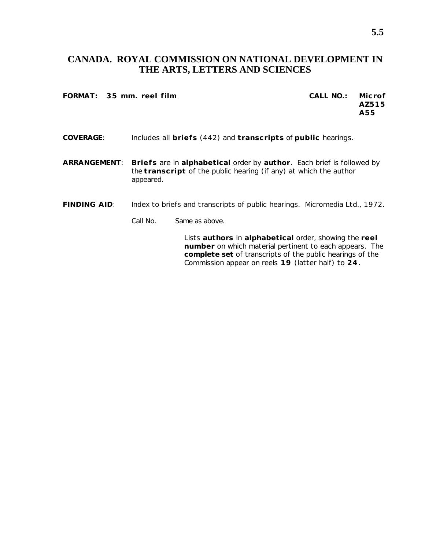## **CANADA. ROYAL COMMISSION ON NATIONAL DEVELOPMENT IN THE ARTS, LETTERS AND SCIENCES**

**FORMAT: 35 mm. reel film CALL NO.: Microf**

**AZ515 A55**

- **COVERAGE**: Includes all **briefs** (442) and **transcripts** of **public** hearings.
- **ARRANGEMENT**: **Briefs** are in **alphabetical** order by **author**. Each brief is followed by the **transcript** of the public hearing (if any) at which the author appeared.
- **FINDING AID**: *Index to briefs and transcripts of public hearings*. Micromedia Ltd., 1972.
	- Call No. Same as above.

Lists **authors** in **alphabetical** order, showing the **reel number** on which material pertinent to each appears. The **complete set** of transcripts of the public hearings of the Commission appear on reels **19** (latter half) to **24**.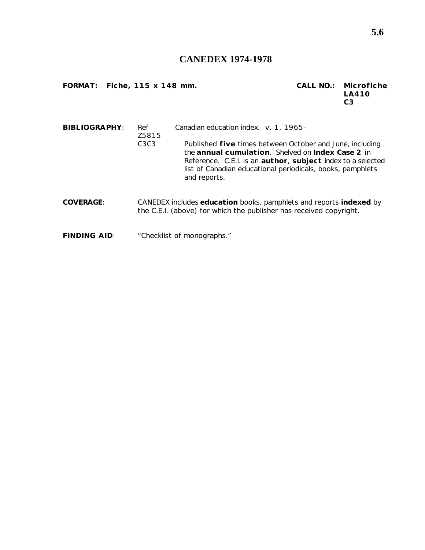## **CANEDEX 1974-1978**

**FORMAT: Fiche, 115 x 148 mm. CALL NO.: Microfiche**

**LA410 C3**

| <b>BIBLIOGRAPHY:</b><br>Ref<br>Z5815 |                               | Canadian education index. v. 1, 1965-                                                                                                                                                                                                                      |
|--------------------------------------|-------------------------------|------------------------------------------------------------------------------------------------------------------------------------------------------------------------------------------------------------------------------------------------------------|
|                                      | C <sub>3</sub> C <sub>3</sub> | Published five times between October and June, including<br>the annual cumulation. Shelved on Index Case 2 in<br>Reference. C.E.I. is an author, subject index to a selected<br>list of Canadian educational periodicals, books, pamphlets<br>and reports. |
| <b>COVERAGE:</b>                     |                               | CANEDEX includes education books, pamphlets and reports indexed by<br>the C.E.I. (above) for which the publisher has received copyright.                                                                                                                   |
| <b>FINDING AID:</b>                  |                               | "Checklist of monographs."                                                                                                                                                                                                                                 |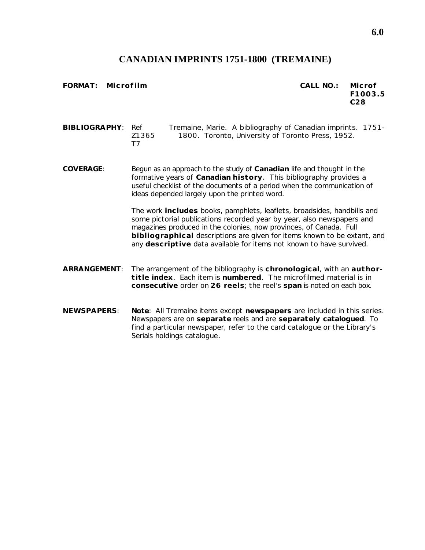## **CANADIAN IMPRINTS 1751-1800 (TREMAINE)**

**FORMAT: Microfilm CALL NO.: Microf**

**F1003.5 C28**

**BIBLIOGRAPHY**: Ref Tremaine, Marie. *A bibliography of Canadian imprints. 1751-* Z1365 *1800*. Toronto, University of Toronto Press, 1952. T7

**COVERAGE**: Begun as an approach to the study of **Canadian** life and thought in the formative years of **Canadian history**. This bibliography provides a useful checklist of the documents of a period when the communication of ideas depended largely upon the printed word.

> The work **includes** books, pamphlets, leaflets, broadsides, handbills and some pictorial publications recorded year by year, also newspapers and magazines produced in the colonies, now provinces, of Canada. Full **bibliographical** descriptions are given for items known to be extant, and any **descriptive** data available for items not known to have survived.

- **ARRANGEMENT**: The arrangement of the bibliography is **chronological**, with an **authortitle index**. Each item is **numbered**. The microfilmed material is in **consecutive** order on **26 reels**; the reel's **span** is noted on each box.
- **NEWSPAPERS**: **Note**: All Tremaine items except **newspapers** are included in this series. Newspapers are on **separate** reels and are **separately catalogued**. To find a particular newspaper, refer to the card catalogue or the Library's *Serials holdings catalogue*.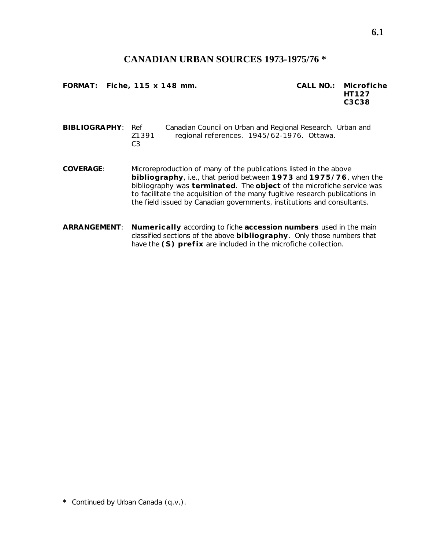#### **CANADIAN URBAN SOURCES 1973-1975/76 \***

**FORMAT: Fiche, 115 x 148 mm. CALL NO.: Microfiche**

**HT127 C3C38**

**BIBLIOGRAPHY**: Ref Canadian Council on Urban and Regional Research. *Urban and* Z1391 *regional references*. 1945/62-1976. Ottawa.  $C<sub>3</sub>$ 

- **COVERAGE**: Microreproduction of many of the publications listed in the above **bibliography**, i.e., that period between **1973** and **1975/76**, when the bibliography was **terminated**. The **object** of the microfiche service was to facilitate the acquisition of the many fugitive research publications in the field issued by Canadian governments, institutions and consultants.
- **ARRANGEMENT**: **Numerically** according to fiche **accession numbers** used in the main classified sections of the above **bibliography**. Only those numbers that have the **(S) prefix** are included in the microfiche collection.

**\*** Continued by *Urban Canada* (q.v.).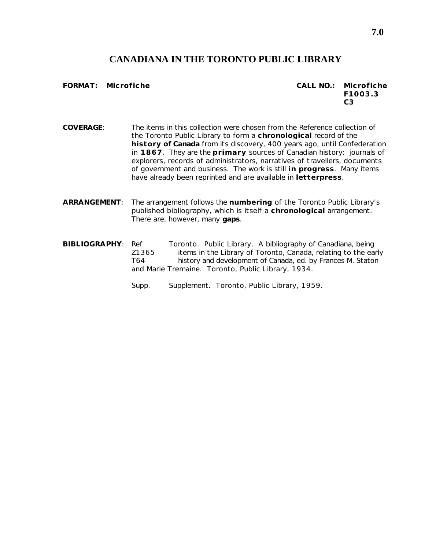## **CANADIANA IN THE TORONTO PUBLIC LIBRARY**

**FORMAT: Microfiche CALL NO.: Microfiche F1003.3 C3**

**COVERAGE**: The items in this collection were chosen from the Reference collection of the Toronto Public Library to form a **chronological** record of the **history of Canada** from its discovery, 400 years ago, until Confederation in **1867**. They are the **primary** sources of Canadian history: journals of explorers, records of administrators, narratives of travellers, documents of government and business. The work is still **in progress**. Many items have already been reprinted and are available in **letterpress**.

- **ARRANGEMENT**: The arrangement follows the **numbering** of the Toronto Public Library's published bibliography, which is itself a **chronological** arrangement. There are, however, many **gaps**.
- **BIBLIOGRAPHY**: Ref Toronto. Public Library. *A bibliography of Canadiana, being* Z1365 *items in the Library of Toronto, Canada, relating to the early* T64 *history and development of Canada*, ed. by Frances M. Staton and Marie Tremaine. Toronto, Public Library, 1934.
	- Supp. *Supplement*. Toronto, Public Library, 1959.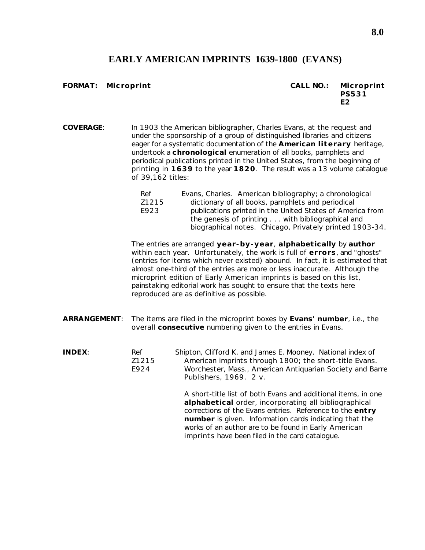## **EARLY AMERICAN IMPRINTS 1639-1800 (EVANS)**

#### **FORMAT: Microprint CALL NO.: Microprint**

| CALL NO.: | Microprint   |
|-----------|--------------|
|           | <b>PS531</b> |
|           | F2           |

**COVERAGE**: In 1903 the American bibliographer, Charles Evans, at the request and under the sponsorship of a group of distinguished libraries and citizens eager for a systematic documentation of the **American literary** heritage, undertook a **chronological** enumeration of all books, pamphlets and periodical publications printed in the United States, from the beginning of printing in **1639** to the year **1820**. The result was a 13 volume catalogue of 39,162 titles:

| Ref   | Evans, Charles. American bibliography; a chronological    |  |  |
|-------|-----------------------------------------------------------|--|--|
| Z1215 | dictionary of all books, pamphlets and periodical         |  |  |
| E923  | publications printed in the United States of America from |  |  |
|       | the genesis of printing with bibliographical and          |  |  |
|       | biographical notes. Chicago, Privately printed 1903-34.   |  |  |

The entries are arranged **year-by-year**, **alphabetically** by **author** within each year. Unfortunately, the work is full of **errors**, and "ghosts" (entries for items which never existed) abound. In fact, it is estimated that almost one-third of the entries are more or less inaccurate. Although the microprint edition of *Early American imprints* is based on this list, painstaking editorial work has sought to ensure that the texts here reproduced are as definitive as possible.

- **ARRANGEMENT**: The items are filed in the microprint boxes by **Evans' number**, i.e., the overall **consecutive** numbering given to the entries in Evans.
- **INDEX:** Ref Shipton, Clifford K. and James E. Mooney. *National index of* Z1215 *American imprints through 1800; the short-title Evans*. E924 Worchester, Mass., American Antiquarian Society and Barre Publishers, 1969. 2 v.

A short-title list of both Evans and additional items, in one **alphabetical** order, incorporating all bibliographical corrections of the Evans entries. Reference to the **entry number** is given. Information cards indicating that the works of an author are to be found in *Early American imprints* have been filed in the card catalogue.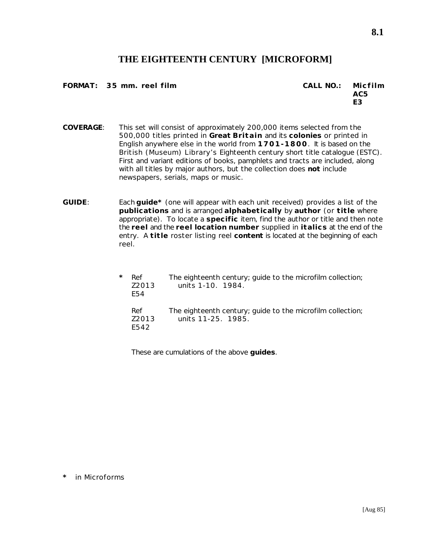## **THE EIGHTEENTH CENTURY [MICROFORM]**

**FORMAT: 35 mm. reel film CALL NO.: Micfilm**

**AC5 E3**

**8.1**

- **COVERAGE**: This set will consist of approximately 200,000 items selected from the 500,000 titles printed in **Great Britain** and its **colonies** or printed in English anywhere else in the world from **1701-1800**. It is based on the British (Museum) Library's *Eighteenth century short title catalogue (ESTC)*. First and variant editions of books, pamphlets and tracts are included, along with all titles by major authors, but the collection does **not** include newspapers, serials, maps or music.
- **GUIDE**: Each **guide\*** (one will appear with each unit received) provides a list of the **publications** and is arranged **alphabetically** by **author** (or **title** where appropriate). To locate a **specific** item, find the author or title and then note the **reel** and the **reel location number** supplied in **italics** at the end of the entry. A **title** roster listing reel **content** is located at the beginning of each reel.

| $^\star$ | Ref<br>Z2013<br>F54  | The eighteenth century; guide to the microfilm collection;<br>units 1-10. 1984.  |
|----------|----------------------|----------------------------------------------------------------------------------|
|          | Ref<br>72013<br>F542 | The eighteenth century; guide to the microfilm collection;<br>units 11-25. 1985. |

These are cumulations of the above **guides**.

**<sup>\*</sup>** in Microforms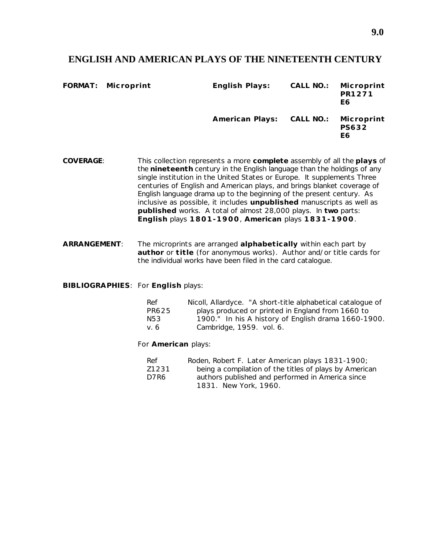#### **ENGLISH AND AMERICAN PLAYS OF THE NINETEENTH CENTURY**

| FORMAT: Microprint | English Plays:                       | CALL NO.: | Microprint<br>PR1271<br>E6 |
|--------------------|--------------------------------------|-----------|----------------------------|
|                    | American Plays: CALL NO.: Microprint |           | <b>PS632</b><br>E6         |

- **COVERAGE**: This collection represents a more **complete** assembly of all the **plays** of the **nineteenth** century in the English language than the holdings of any single institution in the United States or Europe. It supplements *Three centuries of English and American plays*, and brings blanket coverage of English language drama up to the beginning of the present century. As inclusive as possible, it includes **unpublished** manuscripts as well as **published** works. A total of almost 28,000 plays. In **two** parts: **English** plays **1801-1900**, **American** plays **1831-1900**.
- **ARRANGEMENT**: The microprints are arranged **alphabetically** within each part by **author** or **title** (for anonymous works). Author and/or title cards for the individual works have been filed in the card catalogue.

**BIBLIOGRAPHIES**: For **English** plays:

| Ref    | Nicoll, Allardyce. "A short-title alphabetical catalogue of |
|--------|-------------------------------------------------------------|
| PR625  | plays produced or printed in England from 1660 to           |
| N53    | 1900." In his A history of English drama 1660-1900.         |
| v. $6$ | Cambridge, 1959. vol. 6.                                    |

For **American** plays:

| Ref   | Roden, Robert F. Later American plays 1831-1900;       |
|-------|--------------------------------------------------------|
| Z1231 | being a compilation of the titles of plays by American |
| D7R6  | authors published and performed in America since       |
|       | 1831. New York, 1960.                                  |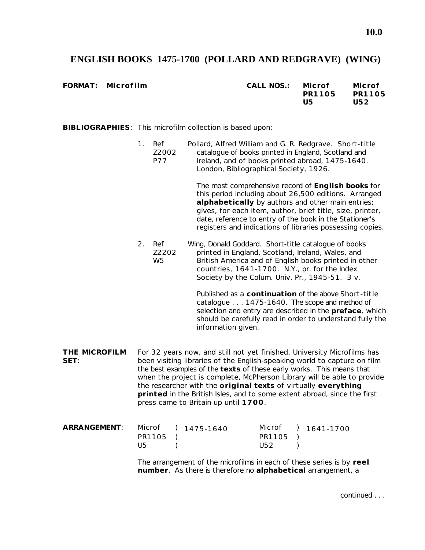## **ENGLISH BOOKS 1475-1700 (POLLARD AND REDGRAVE) (WING)**

 $FORMAT:$  Microfilm

| CALL NOS.: | Microf | Microf |
|------------|--------|--------|
|            | PR1105 | PR1105 |
|            | U5     | U52    |

**BIBLIOGRAPHIES**: This microfilm collection is based upon:

The most comprehensive record of **English books** for this period including about 26,500 editions. Arranged **alphabetically** by authors and other main entries; gives, for each item, author, brief title, size, printer, date, reference to entry of the book in the Stationer's registers and indications of libraries possessing copies.

2. Ref Wing, Donald Goddard. *Short-title catalogue of books* Z2202 *printed in England, Scotland, Ireland, Wales, and* W5 *British America and of English books printed in other countries, 1641-1700*. N.Y., pr. for the Index Society by the Colum. Univ. Pr., 1945-51. 3 v.

> Published as a **continuation** of the above *Short-title catalogue . . . 1475-1640*. The scope and method of selection and entry are described in the **preface**, which should be carefully read in order to understand fully the information given.

**THE MICROFILM** For 32 years now, and still not yet finished, University Microfilms has **SET:** been visiting libraries of the English-speaking world to capture on film the best examples of the **texts** of these early works. This means that when the project is complete, McPherson Library will be able to provide the researcher with the **original texts** of virtually **everything printed** in the British Isles, and to some extent abroad, since the first press came to Britain up until **1700**.

| <b>ARRANGEMENT:</b> |          | Microf ) 1475-1640 |          | Microf ) 1641-1700 |
|---------------------|----------|--------------------|----------|--------------------|
|                     | PR1105 ) |                    | PR1105 ) |                    |
|                     | U5       |                    | U52      |                    |

The arrangement of the microfilms in each of these series is by **reel number**. As there is therefore no **alphabetical** arrangement, a

continued . . .

<sup>1.</sup> Ref Pollard, Alfred William and G. R. Redgrave. *Short-title* Z2002 *catalogue of books printed in England, Scotland and* P77 *Ireland, and of books printed abroad, 1475-1640*. London, Bibliographical Society, 1926.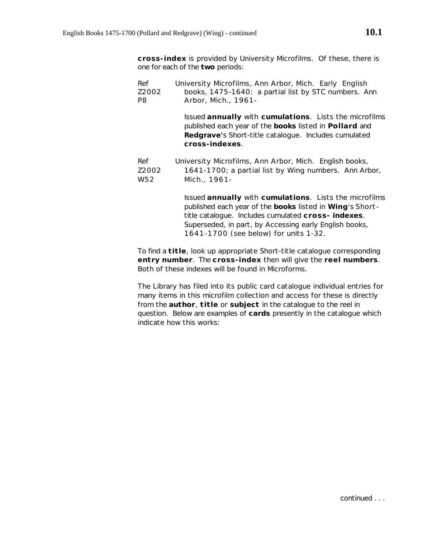**cross-index** is provided by University Microfilms. Of these, there is one for each of the **two** periods:

| Ref             | University Microfilms, Ann Arbor, Mich. Early English                                                                                                                                      |
|-----------------|--------------------------------------------------------------------------------------------------------------------------------------------------------------------------------------------|
| Z2002           | books, 1475-1640: a partial list by STC numbers. Ann                                                                                                                                       |
| P8              | Arbor, Mich., 1961-                                                                                                                                                                        |
|                 | Issued annually with cumulations. Lists the microfilms<br>published each year of the books listed in Pollard and<br>Redgrave's Short-title catalogue. Includes cumulated<br>cross-indexes. |
| Ref             | University Microfilms, Ann Arbor, Mich. English books,                                                                                                                                     |
| Z2002           | 1641-1700; a partial list by Wing numbers. Ann Arbor,                                                                                                                                      |
| W <sub>52</sub> | Mich., 1961-                                                                                                                                                                               |
|                 | Issued annually with cumulations. Lists the microfilms                                                                                                                                     |

published each year of the **books** listed in **Wing**'s *Shorttitle catalogue*. Includes cumulated **cross- indexes**. Superseded, in part, by *Accessing early English books, 1641-1700* (see below) for units 1-32.

To find a **title**, look up appropriate *Short-title catalogue* corresponding **entry number**. The **cross-index** then will give the **reel numbers**. Both of these indexes will be found in Microforms.

The Library has filed into its public card catalogue individual entries for many items in this microfilm collection and access for these is directly from the **author**, **title** or **subject** in the catalogue to the reel in question. Below are examples of **cards** presently in the catalogue which indicate how this works: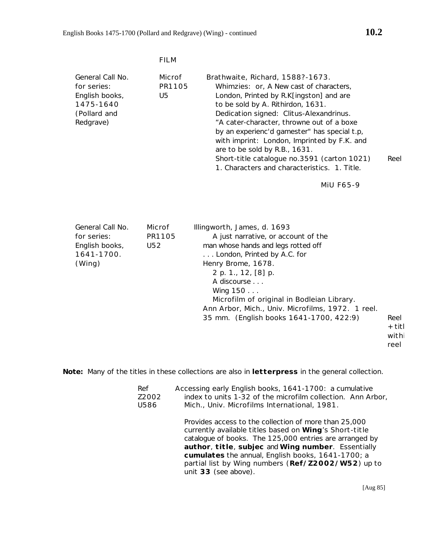|                                                                                             | <b>FILM</b>             |                                                                                                                                                                                                                                                                                                                                                                                                                                                                                            |
|---------------------------------------------------------------------------------------------|-------------------------|--------------------------------------------------------------------------------------------------------------------------------------------------------------------------------------------------------------------------------------------------------------------------------------------------------------------------------------------------------------------------------------------------------------------------------------------------------------------------------------------|
| General Call No.<br>for series:<br>English books,<br>1475-1640<br>(Pollard and<br>Redgrave) | Microf<br>PR1105<br>U5  | Brathwaite, Richard, 1588?-1673.<br>Whimzies: or, A New cast of characters,<br>London, Printed by R.K[ingston] and are<br>to be sold by A. Rithirdon, 1631.<br>Dedication signed: Clitus-Alexandrinus.<br>"A cater-character, throwne out of a boxe<br>by an experienc'd gamester" has special t.p.<br>with imprint: London, Imprinted by F.K. and<br>are to be sold by R.B., 1631.<br>Short-title catalogue no.3591 (carton 1021)<br>Reel<br>1. Characters and characteristics. 1. Title. |
|                                                                                             |                         | <b>MIU F65-9</b>                                                                                                                                                                                                                                                                                                                                                                                                                                                                           |
| General Call No.<br>for series:<br>English books,<br>1641-1700.<br>(Wing)                   | Microf<br>PR1105<br>U52 | Illingworth, James, d. 1693<br>A just narrative, or account of the<br>man whose hands and legs rotted off<br>London, Printed by A.C. for<br>Henry Brome, 1678.<br>2 p. 1., 12, [8] p.<br>A discourse<br>Wing 150<br>Microfilm of original in Bodleian Library.<br>Ann Arbor, Mich., Univ. Microfilms, 1972. 1 reel.                                                                                                                                                                        |

```
35 mm. (English books 1641-1700, 422:9) Reel
                                + titl
                                withi
```
reel

**Note:** Many of the titles in these collections are also in **letterpress** in the general collection.

| Accessing early English books, 1641-1700: a cumulative<br>Ref<br>index to units 1-32 of the microfilm collection. Ann Arbor,<br>Z2002<br>U586<br>Mich., Univ. Microfilms International, 1981. |                                                                                                                                                                                                                                                                                                                                                                     |
|-----------------------------------------------------------------------------------------------------------------------------------------------------------------------------------------------|---------------------------------------------------------------------------------------------------------------------------------------------------------------------------------------------------------------------------------------------------------------------------------------------------------------------------------------------------------------------|
|                                                                                                                                                                                               | Provides access to the collection of more than 25,000<br>currently available titles based on Wing's Short-title<br>catalogue of books. The 125,000 entries are arranged by<br>author, title, subjec and Wing number. Essentially<br>cumulates the annual, English books, 1641-1700; a<br>partial list by Wing numbers (Ref/Z2002/W52) up to<br>unit 33 (see above). |

[Aug 85]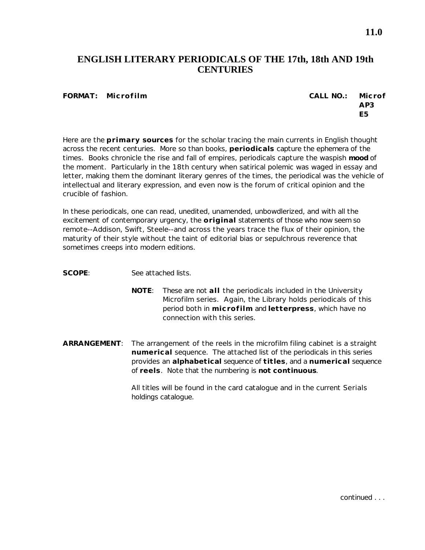## **ENGLISH LITERARY PERIODICALS OF THE 17th, 18th AND 19th CENTURIES**

#### **FORMAT: Microfilm CALL NO.: Microf**

# **AP3 E5**

Here are the **primary sources** for the scholar tracing the main currents in English thought across the recent centuries. More so than books, **periodicals** capture the ephemera of the times. Books chronicle the rise and fall of empires, periodicals capture the waspish **mood** of the moment. Particularly in the 18th century when satirical polemic was waged in essay and letter, making them the dominant literary genres of the times, the periodical was the vehicle of intellectual and literary expression, and even now is the forum of critical opinion and the crucible of fashion.

In these periodicals, one can read, unedited, unamended, unbowdlerized, and with all the excitement of contemporary urgency, the **original** statements of those who now seem so remote--Addison, Swift, Steele--and across the years trace the flux of their opinion, the maturity of their style without the taint of editorial bias or sepulchrous reverence that sometimes creeps into modern editions.

**SCOPE**: See attached lists.

- **NOTE**: These are not **all** the periodicals included in the University Microfilm series. Again, the Library holds periodicals of this period both in **microfilm** and **letterpress**, which have no connection with this series.
- **ARRANGEMENT**: The arrangement of the reels in the microfilm filing cabinet is a straight **numerical** sequence. The attached list of the periodicals in this series provides an **alphabetical** sequence of **titles**, and a **numerical** sequence of **reels**. Note that the numbering is **not continuous**.

All titles will be found in the card catalogue and in the current *Serials holdings catalogue*.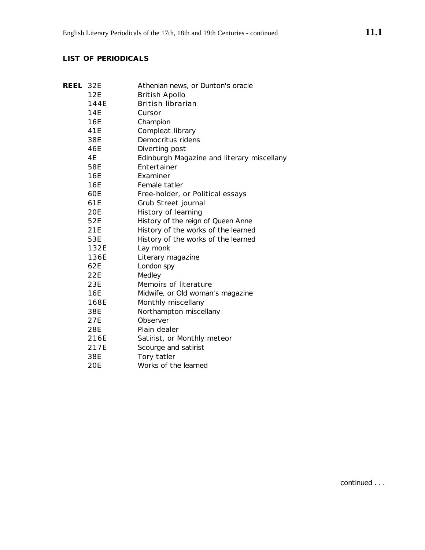## **LIST OF PERIODICALS**

| REEL | 32E        | Athenian news, or Dunton's oracle          |
|------|------------|--------------------------------------------|
|      | 12E        | <b>British Apollo</b>                      |
|      | 144E       | British librarian                          |
|      | 14E        | Cursor                                     |
|      | 16E        | Champion                                   |
|      | 41E        | Compleat library                           |
|      | 38E        | Democritus ridens                          |
|      | 46E        | Diverting post                             |
|      | 4E         | Edinburgh Magazine and literary miscellany |
|      | 58E        | Entertainer                                |
|      | 16E        | Examiner                                   |
|      | 16E        | Female tatler                              |
|      | 60E        | Free-holder, or Political essays           |
|      | 61E        | Grub Street journal                        |
|      | <b>20E</b> | History of learning                        |
|      | 52E        | History of the reign of Queen Anne         |
|      | 21E        | History of the works of the learned        |
|      | 53E        | History of the works of the learned        |
|      | 132E       | Lay monk                                   |
|      | 136E       | Literary magazine                          |
|      | 62E        | London spy                                 |
|      | 22E        | Medley                                     |
|      | 23E        | Memoirs of literature                      |
|      | 16E        | Midwife, or Old woman's magazine           |
|      | 168E       | Monthly miscellany                         |
|      | 38E        | Northampton miscellany                     |
|      | 27E        | Observer                                   |
|      | 28E        | Plain dealer                               |
|      | 216E       | Satirist, or Monthly meteor                |
|      | 217E       | Scourge and satirist                       |
|      | 38E        | Tory tatler                                |
|      | 20E        | Works of the learned                       |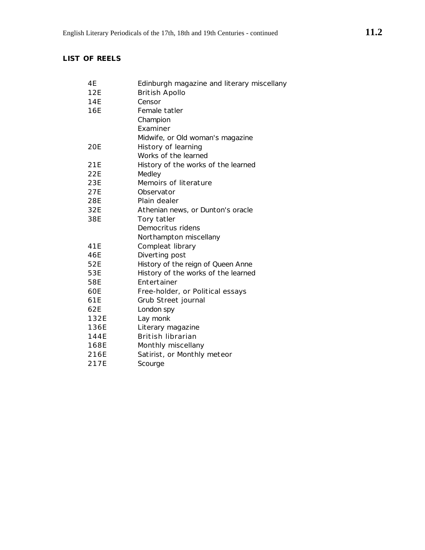## **LIST OF REELS**

| 4Ε   | Edinburgh magazine and literary miscellany |
|------|--------------------------------------------|
| 12E  | <b>British Apollo</b>                      |
| 14E  | Censor                                     |
| 16E  | Female tatler                              |
|      | Champion                                   |
|      | Examiner                                   |
|      | Midwife, or Old woman's magazine           |
| 20E  | History of learning                        |
|      | Works of the learned                       |
| 21E  | History of the works of the learned        |
| 22E  | Medley                                     |
| 23E  | Memoirs of literature                      |
| 27E  | Observator                                 |
| 28E  | Plain dealer                               |
| 32E  | Athenian news, or Dunton's oracle          |
| 38E  | Tory tatler                                |
|      | Democritus ridens                          |
|      | Northampton miscellany                     |
| 41E  | Compleat library                           |
| 46E  | Diverting post                             |
| 52E  | History of the reign of Queen Anne         |
| 53E  | History of the works of the learned        |
| 58E  | Entertainer                                |
| 60E  | Free-holder, or Political essays           |
| 61E  | Grub Street journal                        |
| 62E  | London spy                                 |
| 132E | Lay monk                                   |
| 136E | Literary magazine                          |
| 144E | British librarian                          |
| 168E | Monthly miscellany                         |
| 216E | Satirist, or Monthly meteor                |
| 217E | Scourge                                    |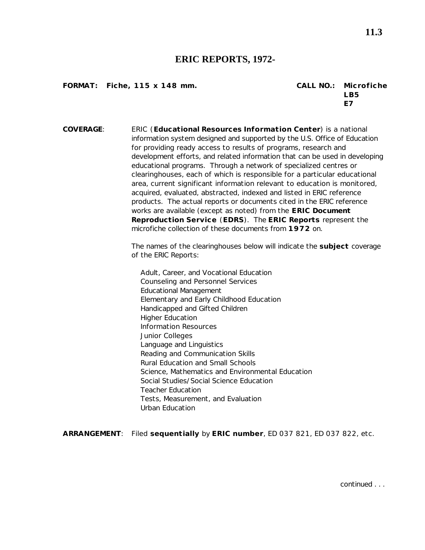#### **ERIC REPORTS, 1972-**

**FORMAT:** Fiche, 115 x 148 mm.

| CALL NO.: Microfiche |
|----------------------|
| LB5                  |
| F7                   |

**COVERAGE**: ERIC (**Educational Resources Information Center**) is a national information system designed and supported by the U.S. Office of Education for providing ready access to results of programs, research and development efforts, and related information that can be used in developing educational programs. Through a network of specialized centres or clearinghouses, each of which is responsible for a particular educational area, current significant information relevant to education is monitored, acquired, evaluated, abstracted, indexed and listed in ERIC reference products. The actual reports or documents cited in the ERIC reference works are available (except as noted) from the **ERIC Document Reproduction Service** (**EDRS**). The **ERIC Reports** represent the microfiche collection of these documents from **1972** on.

> The names of the clearinghouses below will indicate the **subject** coverage of the ERIC Reports:

Adult, Career, and Vocational Education Counseling and Personnel Services Educational Management Elementary and Early Childhood Education Handicapped and Gifted Children Higher Education Information Resources Junior Colleges Language and Linguistics Reading and Communication Skills Rural Education and Small Schools Science, Mathematics and Environmental Education Social Studies/Social Science Education Teacher Education Tests, Measurement, and Evaluation Urban Education

**ARRANGEMENT**: Filed **sequentially** by **ERIC number**, ED 037 821, ED 037 822, etc.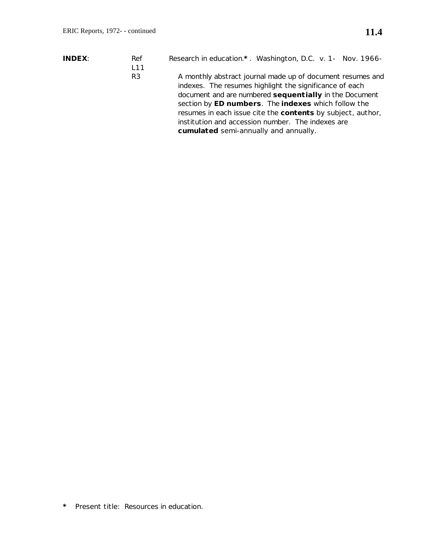- **INDEX**: Ref *Research in education*.**\*** . Washington, D.C. v. 1- Nov. 1966-
	- R3 A monthly abstract journal made up of document resumes and indexes. The resumes highlight the significance of each document and are numbered **sequentially** in the Document section by **ED numbers**. The **indexes** which follow the resumes in each issue cite the **contents** by subject, author, institution and accession number. The indexes are **cumulated** semi-annually and annually.

**\*** Present title: *Resources in education*.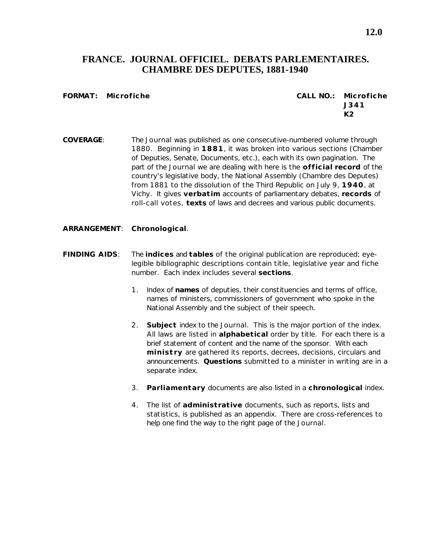## **FRANCE. JOURNAL OFFICIEL. DEBATS PARLEMENTAIRES. CHAMBRE DES DEPUTES, 1881-1940**

**FORMAT: Microfiche CALL NO.: Microfiche J341 K2**

- **COVERAGE**: The *Journal* was published as one consecutive-numbered volume through 1880. Beginning in **1881**, it was broken into various sections (Chamber of Deputies, Senate, Documents, etc.), each with its own pagination. The part of the *Journal* we are dealing with here is the **official record** of the country's legislative body, the National Assembly (Chambre des Deputes) from 1881 to the dissolution of the Third Republic on July 9, **1940**, at Vichy. It gives **verbatim** accounts of parliamentary debates, **records** of roll-call votes, **texts** of laws and decrees and various public documents.
- **ARRANGEMENT**: **Chronological**.
- **FINDING AIDS**: The **indices** and **tables** of the original publication are reproduced; eyelegible bibliographic descriptions contain title, legislative year and fiche number. Each index includes several **sections**.
	- 1. Index of **names** of deputies, their constituencies and terms of office, names of ministers, commissioners of government who spoke in the National Assembly and the subject of their speech.
	- 2. **Subject** index to the *Journal*. This is the major portion of the index. All laws are listed in **alphabetical** order by title. For each there is a brief statement of content and the name of the sponsor. With each **ministry** are gathered its reports, decrees, decisions, circulars and announcements. **Questions** submitted to a minister in writing are in a separate index.
	- 3. **Parliamentary** documents are also listed in a **chronological** index.
	- 4. The list of **administrative** documents, such as reports, lists and statistics, is published as an appendix. There are cross-references to help one find the way to the right page of the *Journal*.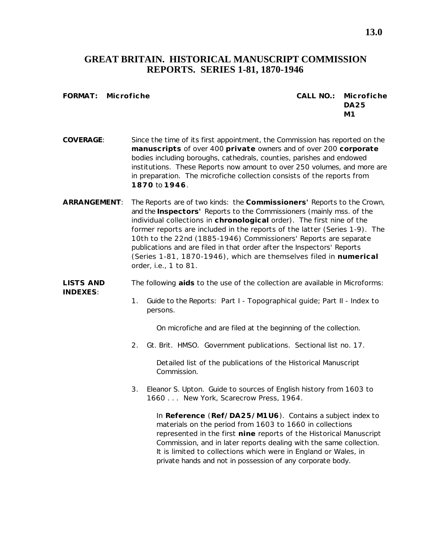## **GREAT BRITAIN. HISTORICAL MANUSCRIPT COMMISSION REPORTS. SERIES 1-81, 1870-1946**

#### **FORMAT: Microfiche CALL NO.: Microfiche DA25 M1**

- **COVERAGE**: Since the time of its first appointment, the Commission has reported on the **manuscripts** of over 400 **private** owners and of over 200 **corporate** bodies including boroughs, cathedrals, counties, parishes and endowed institutions. These *Reports* now amount to over 250 volumes, and more are in preparation. The microfiche collection consists of the reports from **1870** to **1946**.
- **ARRANGEMENT**: The *Reports* are of two kinds: the **Commissioners'** Reports to the Crown, and the **Inspectors'** Reports to the Commissioners (mainly mss. of the individual collections in **chronological** order). The first nine of the former reports are included in the reports of the latter (Series 1-9). The 10th to the 22nd (1885-1946) Commissioners' *Reports* are separate publications and are filed in that order after the Inspectors' *Reports* (Series 1-81, 1870-1946), which are themselves filed in **numerical** order, i.e., 1 to 81.

#### **LISTS AND** The following **aids** to the use of the collection are available in Microforms: **INDEXES**:

1. *Guide to the Reports*: Part I - Topographical guide; Part II - Index to persons.

On microfiche and are filed at the beginning of the collection.

2. Gt. Brit. HMSO. *Government publications. Sectional list no. 17*.

Detailed list of the publications of the Historical Manuscript Commission.

3. Eleanor S. Upton. *Guide to sources of English history from 1603 to 1660 . . .* New York, Scarecrow Press, 1964.

In **Reference** (**Ref/DA25/M1U6**). Contains a subject index to materials on the period from 1603 to 1660 in collections represented in the first **nine** reports of the Historical Manuscript Commission, and in later reports dealing with the same collection. It is limited to collections which were in England or Wales, in private hands and not in possession of any corporate body.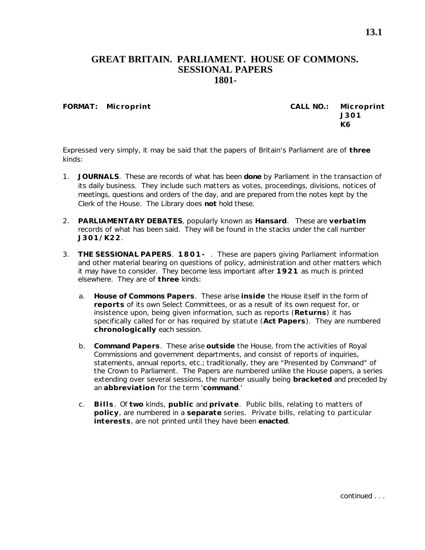#### **GREAT BRITAIN. PARLIAMENT. HOUSE OF COMMONS. SESSIONAL PAPERS 1801-**

**FORMAT: Microprint CALL NO.: Microprint J301 K6**

Expressed very simply, it may be said that the papers of Britain's Parliament are of **three** kinds:

- 1. **JOURNALS**. These are records of what has been **done** by Parliament in the transaction of its daily business. They include such matters as votes, proceedings, divisions, notices of meetings, questions and orders of the day, and are prepared from the notes kept by the Clerk of the House. The Library does **not** hold these.
- 2. **PARLIAMENTARY DEBATES**, popularly known as **Hansard**. These are **verbatim** records of what has been said. They will be found in the stacks under the call number **J301/K22**.
- 3. **THE SESSIONAL PAPERS**. **1801-** . These are papers giving Parliament information and other material bearing on questions of policy, administration and other matters which it may have to consider. They become less important after **1921** as much is printed elsewhere. They are of **three** kinds:
	- a. **House of Commons Papers**. These arise **inside** the House itself in the form of **reports** of its own Select Committees, or as a result of its own request for, or insistence upon, being given information, such as reports (**Returns**) it has specifically called for or has required by statute (**Act Papers**). They are numbered **chronologically** each session.
	- b. **Command Papers**. These arise **outside** the House, from the activities of Royal Commissions and government departments, and consist of reports of inquiries, statements, annual reports, etc.; traditionally, they are "Presented by Command" of the Crown to Parliament. The Papers are numbered unlike the House papers, a series extending over several sessions, the number usually being **bracketed** and preceded by an **abbreviation** for the term '**command**.'
	- c. **Bills**. Of **two** kinds, **public** and **private**. Public bills, relating to matters of **policy**, are numbered in a **separate** series. Private bills, relating to particular **interests**, are not printed until they have been **enacted**.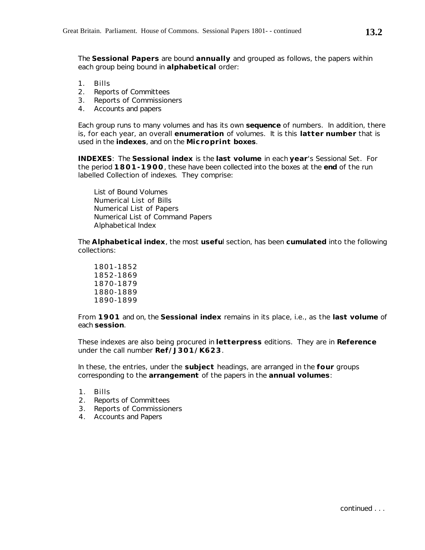The **Sessional Papers** are bound **annually** and grouped as follows, the papers within each group being bound in **alphabetical** order:

- 1. Bills
- 2. Reports of Committees
- 3. Reports of Commissioners
- 4. Accounts and papers

Each group runs to many volumes and has its own **sequence** of numbers. In addition, there is, for each year, an overall **enumeration** of volumes. It is this **latter number** that is used in the **indexes**, and on the **Microprint boxes**.

**INDEXES**: The *Sessional index* is the **last volume** in each **year**'s Sessional Set. For the period **1801-1900**, these have been collected into the boxes at the **end** of the run labelled *Collection of indexes*. They comprise:

List of Bound Volumes Numerical List of Bills Numerical List of Papers Numerical List of Command Papers Alphabetical Index

The *Alphabetical index*, the most **usefu**l section, has been **cumulated** into the following collections:

1801-1852 1852-1869 1870-1879 1880-1889 1890-1899

From **1901** and on, the *Sessional index* remains in its place, i.e., as the **last volume** of each **session**.

These indexes are also being procured in **letterpress** editions. They are in **Reference** under the call number **Ref/J301/K623**.

In these, the entries, under the **subject** headings, are arranged in the **four** groups corresponding to the **arrangement** of the papers in the **annual volumes**:

- 1. Bills
- 2. Reports of Committees
- 3. Reports of Commissioners
- 4. Accounts and Papers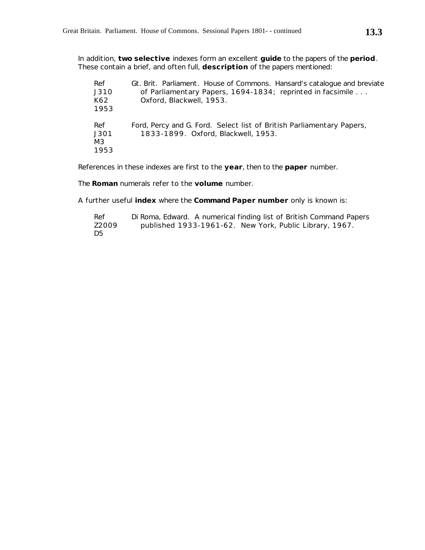In addition, **two selective** indexes form an excellent **guide** to the papers of the **period**. These contain a brief, and often full, **description** of the papers mentioned:

| Ref<br>J310<br>K62<br>1953 | Gt. Brit. Parliament. House of Commons. Hansard's catalogue and breviate<br>of Parliamentary Papers, 1694-1834; reprinted in facsimile<br>Oxford, Blackwell, 1953. |
|----------------------------|--------------------------------------------------------------------------------------------------------------------------------------------------------------------|
| Ref<br>J301<br>MЗ<br>1953  | Ford, Percy and G. Ford. Select list of British Parliamentary Papers,<br>1833-1899. Oxford, Blackwell, 1953.                                                       |

References in these indexes are first to the **year**, then to the **paper** number.

The **Roman** numerals refer to the **volume** number.

A further useful **index** where the **Command Paper number** only is known is:

| Ref   | Di Roma, Edward. A numerical finding list of British Command Papers |
|-------|---------------------------------------------------------------------|
| Z2009 | published 1933-1961-62. New York, Public Library, 1967.             |
| D5    |                                                                     |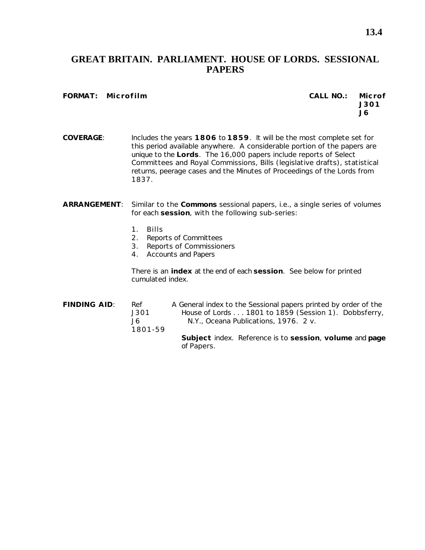## **GREAT BRITAIN. PARLIAMENT. HOUSE OF LORDS. SESSIONAL PAPERS**

#### **FORMAT: Microfilm CALL NO.: Microf**

# **J301 J6**

**COVERAGE**: Includes the years **1806** to **1859**. It will be the most complete set for this period available anywhere. A considerable portion of the papers are unique to the **Lords**. The 16,000 papers include reports of Select Committees and Royal Commissions, Bills (legislative drafts), statistical returns, peerage cases and the Minutes of Proceedings of the Lords from 1837.

#### **ARRANGEMENT**: Similar to the **Commons** sessional papers, i.e., a single series of volumes for each **session**, with the following sub-series:

- 1. Bills
- 2. Reports of Committees
- 3. Reports of Commissioners
- 4. Accounts and Papers

There is an **index** at the end of each **session**. See below for printed cumulated index.

**FINDING AID**: Ref *A General index to the Sessional papers printed by order of the* J301 *House of Lords . . . 1801 to 1859* (Session 1). Dobbsferry, J6 N.Y., Oceana Publications, 1976. 2 v. 1801-59 **Subject** index. Reference is to **session**, **volume** and **page** of *Papers*.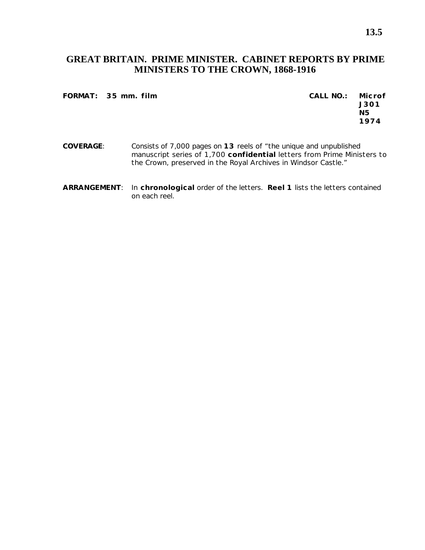## **GREAT BRITAIN. PRIME MINISTER. CABINET REPORTS BY PRIME MINISTERS TO THE CROWN, 1868-1916**

#### **FORMAT: 35 mm. film CALL NO.: Microf**

**J301 N5 1974**

- **COVERAGE**: Consists of 7,000 pages on **13** reels of "the unique and unpublished manuscript series of 1,700 **confidential** letters from Prime Ministers to the Crown, preserved in the Royal Archives in Windsor Castle."
- **ARRANGEMENT**: In **chronological** order of the letters. **Reel 1** lists the letters contained on each reel.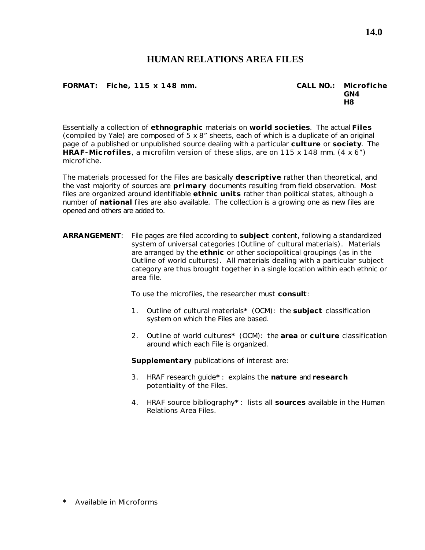## **HUMAN RELATIONS AREA FILES**

#### **FORMAT: Fiche, 115 x 148 mm. CALL NO.: Microfiche**

**GN4 H8**

Essentially a collection of **ethnographic** materials on **world societies**. The actual **Files** (compiled by Yale) are composed of 5 x 8" sheets, each of which is a duplicate of an original page of a published or unpublished source dealing with a particular **culture** or **society**. The **HRAF-Microfiles**, a microfilm version of these slips, are on 115 x 148 mm. (4 x 6") microfiche.

The materials processed for the Files are basically **descriptive** rather than theoretical, and the vast majority of sources are **primary** documents resulting from field observation. Most files are organized around identifiable **ethnic units** rather than political states, although a number of **national** files are also available. The collection is a growing one as new files are opened and others are added to.

**ARRANGEMENT**: File pages are filed according to **subject** content, following a standardized system of universal categories (*Outline of cultural materials*). Materials are arranged by the **ethnic** or other sociopolitical groupings (as in the *Outline of world cultures*). All materials dealing with a particular subject category are thus brought together in a single location within each ethnic or area file.

To use the microfiles, the researcher must **consult**:

- 1. *Outline of cultural materials***\*** (OCM): the **subject** classification system on which the Files are based.
- 2. *Outline of world cultures***\*** (OCM): the **area** or **culture** classification around which each File is organized.

**Supplementary** publications of interest are:

- 3. *HRAF research guide***\*** : explains the **nature** and **research** potentiality of the Files.
- 4. *HRAF source bibliography***\*** : lists all **sources** available in the Human Relations Area Files.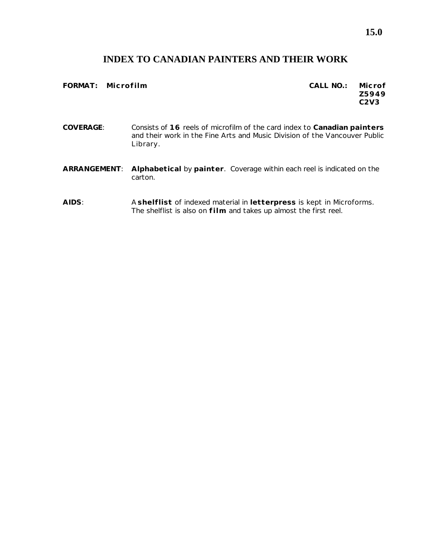# **INDEX TO CANADIAN PAINTERS AND THEIR WORK**

| FORMAT: Microfilm |                                                                                                                                                                    | CALL NO.: | Microf<br>Z5949<br>C2V3 |
|-------------------|--------------------------------------------------------------------------------------------------------------------------------------------------------------------|-----------|-------------------------|
| <b>COVERAGE:</b>  | Consists of 16 reels of microfilm of the card index to Canadian painters<br>and their work in the Fine Arts and Music Division of the Vancouver Public<br>Library. |           |                         |
| ARRANGEMENT:      | Alphabetical by painter. Coverage within each reel is indicated on the<br>carton.                                                                                  |           |                         |

**AIDS**: A **shelflist** of indexed material in **letterpress** is kept in Microforms. The shelflist is also on **film** and takes up almost the first reel.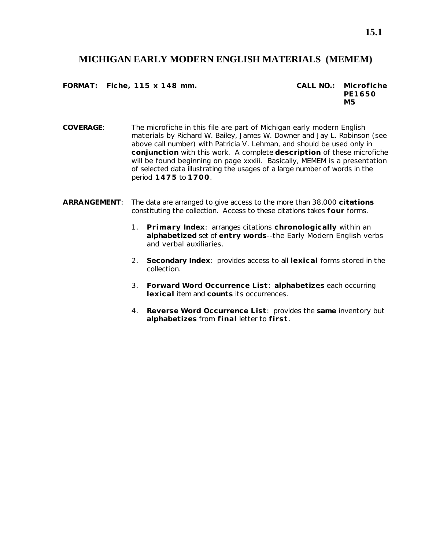### **MICHIGAN EARLY MODERN ENGLISH MATERIALS (MEMEM)**

**FORMAT: Fiche, 115 x 148 mm. CALL NO.: Microfiche**

**PE1650 M5**

- **COVERAGE**: The microfiche in this file are part of *Michigan early modern English materials* by Richard W. Bailey, James W. Downer and Jay L. Robinson (see above call number) with Patricia V. Lehman, and should be used only in **conjunction** with this work. A complete **description** of these microfiche will be found beginning on page xxxiii. Basically, MEMEM is a presentation of selected data illustrating the usages of a large number of words in the period **1475** to **1700**.
- **ARRANGEMENT**: The data are arranged to give access to the more than 38,000 **citations** constituting the collection. Access to these citations takes **four** forms.
	- 1. **Primary Index**: arranges citations **chronologically** within an **alphabetized** set of **entry words**--the Early Modern English verbs and verbal auxiliaries.
	- 2. **Secondary Index**: provides access to all **lexical** forms stored in the collection.
	- 3. **Forward Word Occurrence List**: **alphabetizes** each occurring **lexical** item and **counts** its occurrences.
	- 4. **Reverse Word Occurrence List**: provides the **same** inventory but **alphabetizes** from **final** letter to **first**.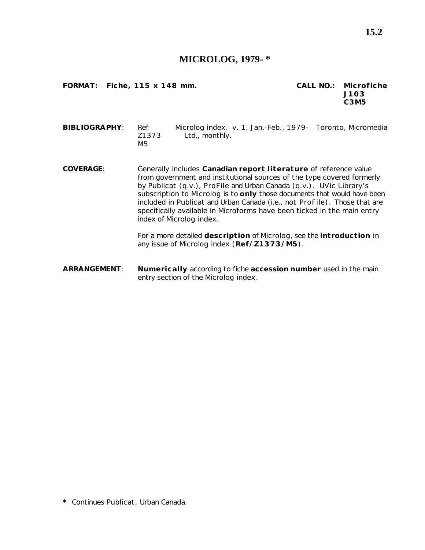#### **MICROLOG, 1979- \***

**FORMAT: Fiche, 115 x 148 mm. CALL NO.: Microfiche**

**J103 C3M5**

**BIBLIOGRAPHY**: Ref *Microlog index*. v. 1, Jan.-Feb., 1979- Toronto, Micromedia Z1373 Ltd., monthly. M5

**COVERAGE**: Generally includes **Canadian report literature** of reference value from government and institutional sources of the type covered formerly by *Publicat* (q.v.), *ProFile* and *Urban Canada* (q.v.). UVic Library's subscription to *Microlog* is to **only** those documents that would have been included in *Publicat* and *Urban Canada* (i.e., not *ProFile*). Those that are specifically available in Microforms have been ticked in the main entry index of *Microlog index*.

> For a more detailed **description** of *Microlog*, see the **introduction** in any issue of *Microlog index* (**Ref/Z1373/M5**).

**ARRANGEMENT**: **Numerically** according to fiche **accession number** used in the main entry section of the *Microlog index*.

**\*** Continues *Publicat*, *Urban Canada*.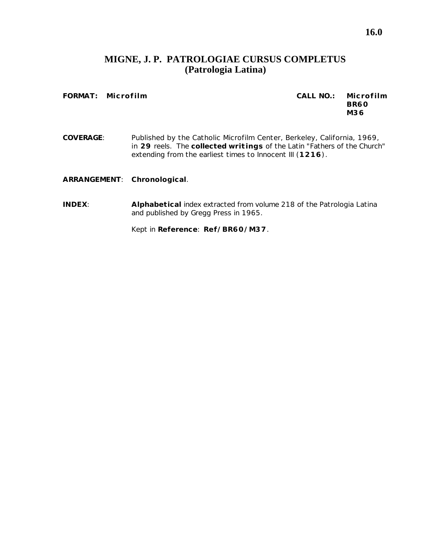## **MIGNE, J. P. PATROLOGIAE CURSUS COMPLETUS (Patrologia Latina)**

**FORMAT: Microfilm CALL NO.: Microfilm BR60 M36**

**COVERAGE**: Published by the Catholic Microfilm Center, Berkeley, California, 1969, in **29** reels. The **collected writings** of the Latin "Fathers of the Church" extending from the earliest times to Innocent III (**1216**).

**ARRANGEMENT**: **Chronological**.

**INDEX**: **Alphabetical** index extracted from volume 218 of the *Patrologia Latina* and published by Gregg Press in 1965.

Kept in **Reference**: **Ref/BR60/M37**.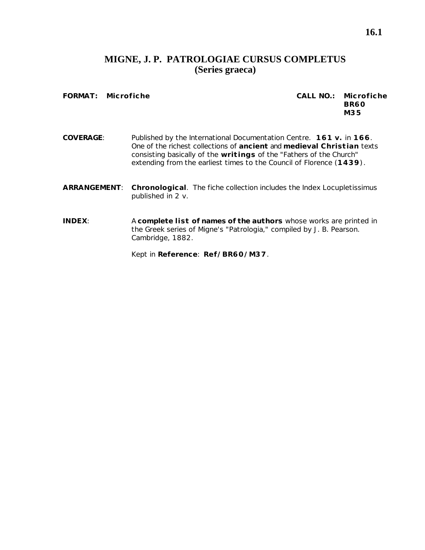## **MIGNE, J. P. PATROLOGIAE CURSUS COMPLETUS (Series graeca)**

**FORMAT: Microfiche CALL NO.: Microfiche**

# **BR60 M35**

- **COVERAGE**: Published by the International Documentation Centre. **161 v.** in **166**. One of the richest collections of **ancient** and **medieval Christian** texts consisting basically of the **writings** of the "Fathers of the Church" extending from the earliest times to the Council of Florence (**1439**).
- **ARRANGEMENT**: **Chronological**. The fiche collection includes the *Index Locupletissimus* published in 2 v.
- **INDEX**: A **complete list of names of the authors** whose works are printed in the Greek series of Migne's "Patrologia," compiled by J. B. Pearson. Cambridge, 1882.

Kept in **Reference**: **Ref/BR60/M37**.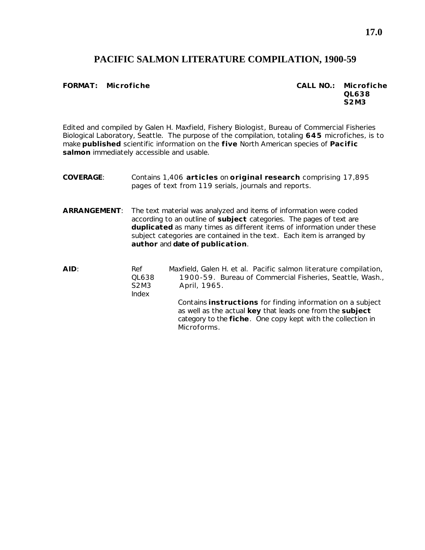## **PACIFIC SALMON LITERATURE COMPILATION, 1900-59**

**FORMAT: Microfiche CALL NO.: Microfiche QL638 S2M3**

Edited and compiled by Galen H. Maxfield, Fishery Biologist, Bureau of Commercial Fisheries Biological Laboratory, Seattle. The purpose of the compilation, totaling **645** microfiches, is to make **published** scientific information on the **five** North American species of **Pacific salmon** immediately accessible and usable.

**COVERAGE**: Contains 1,406 **articles** on **original research** comprising 17,895 pages of text from 119 serials, journals and reports. **ARRANGEMENT**: The text material was analyzed and items of information were coded according to an outline of **subject** categories. The pages of text are **duplicated** as many times as different items of information under these subject categories are contained in the text. Each item is arranged by **author** and **date of publication**. **AID**: Ref Maxfield, Galen H. et al. *Pacific salmon literature compilation,* QL638 *1900-59*. Bureau of Commercial Fisheries, Seattle, Wash., S2M3 April, 1965. Index Contains **instructions** for finding information on a subject as well as the actual **key** that leads one from the **subject** category to the **fiche**. One copy kept with the collection in

**Microforms**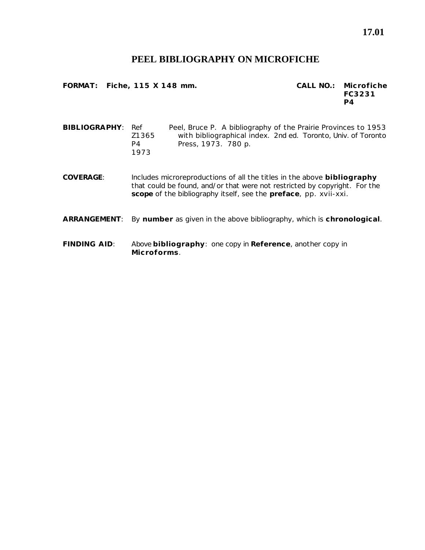#### **PEEL BIBLIOGRAPHY ON MICROFICHE**

**FORMAT: Fiche, 115 X 148 mm. CALL NO.: Microfiche**

**FC3231 P4**

**BIBLIOGRAPHY**: Ref Peel, Bruce P. *A bibliography of the Prairie Provinces to 1953* Z1365 *with bibliographical index*. 2nd ed. Toronto, Univ. of Toronto P4 Press, 1973. 780 p. 1973

**COVERAGE**: Includes microreproductions of all the titles in the above **bibliography** that could be found, and/or that were not restricted by copyright. For the **scope** of the bibliography itself, see the **preface**, pp. xvii-xxi.

#### **ARRANGEMENT**: By **number** as given in the above bibliography, which is **chronological**.

**FINDING AID**: Above **bibliography**: one copy in **Reference**, another copy in **Microforms**.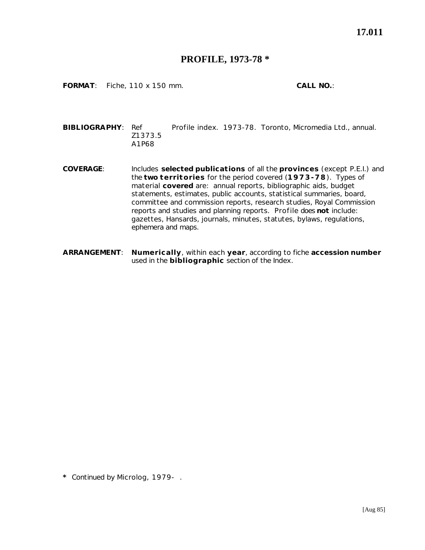### **PROFILE, 1973-78 \***

**FORMAT**: Fiche, 110 x 150 mm. **CALL NO.**:

**BIBLIOGRAPHY**: Ref *Profile index*. 1973-78. Toronto, Micromedia Ltd., annual. Z1373.5 A1P68

- **COVERAGE**: Includes **selected publications** of all the **provinces** (except P.E.I.) and the **two territories** for the period covered (**1973-78**). Types of material **covered** are: annual reports, bibliographic aids, budget statements, estimates, public accounts, statistical summaries, board, committee and commission reports, research studies, Royal Commission reports and studies and planning reports. *Profile* does **not** include: gazettes, Hansards, journals, minutes, statutes, bylaws, regulations, ephemera and maps.
- **ARRANGEMENT**: **Numerically**, within each **year**, according to fiche **accession number** used in the **bibliographic** section of the *Index*.

**\*** Continued by *Microlog*, 1979- .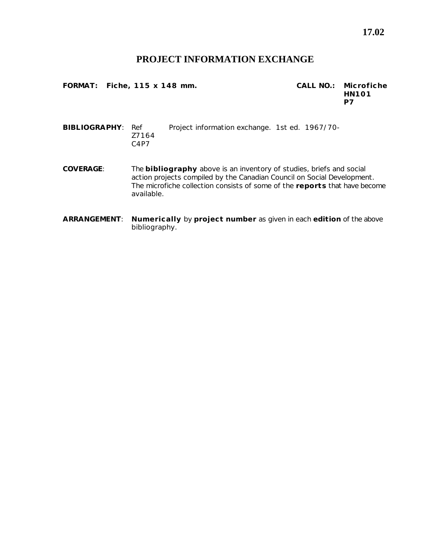## **PROJECT INFORMATION EXCHANGE**

**FORMAT: Fiche, 115 x 148 mm. CALL NO.: Microfiche**

**HN101 P7**

**BIBLIOGRAPHY**: Ref *Project information exchange*. 1st ed. 1967/70- Z7164 C4P7

**COVERAGE**: The **bibliography** above is an inventory of studies, briefs and social action projects compiled by the Canadian Council on Social Development. The microfiche collection consists of some of the **reports** that have become available.

**ARRANGEMENT**: **Numerically** by **project number** as given in each **edition** of the above bibliography.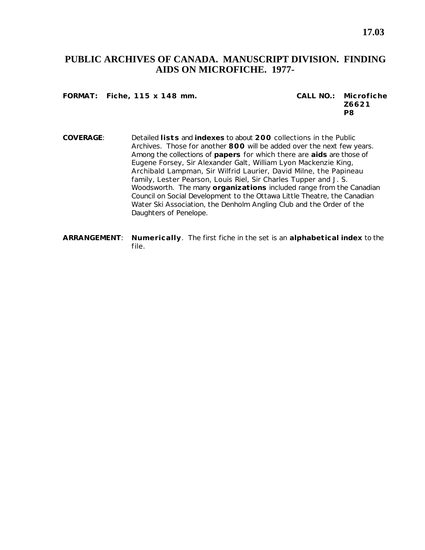## **PUBLIC ARCHIVES OF CANADA. MANUSCRIPT DIVISION. FINDING AIDS ON MICROFICHE. 1977-**

**FORMAT: Fiche, 115 x 148 mm. CALL NO.: Microfiche**

**Z6621 P8**

- **COVERAGE**: Detailed **lists** and **indexes** to about **200** collections in the Public Archives. Those for another **800** will be added over the next few years. Among the collections of **papers** for which there are **aids** are those of Eugene Forsey, Sir Alexander Galt, William Lyon Mackenzie King, Archibald Lampman, Sir Wilfrid Laurier, David Milne, the Papineau family, Lester Pearson, Louis Riel, Sir Charles Tupper and J. S. Woodsworth. The many **organizations** included range from the Canadian Council on Social Development to the Ottawa Little Theatre, the Canadian Water Ski Association, the Denholm Angling Club and the Order of the Daughters of Penelope.
- **ARRANGEMENT**: **Numerically**. The first fiche in the set is an **alphabetical index** to the file.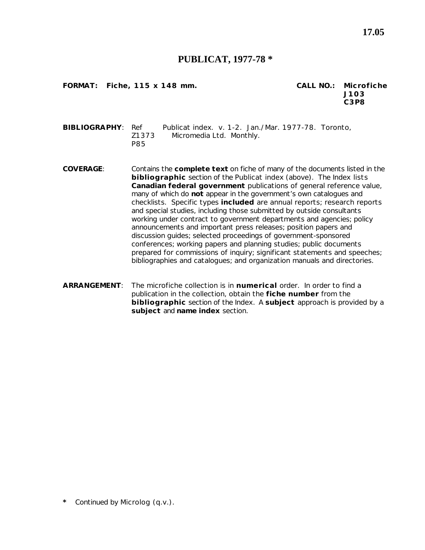#### **PUBLICAT, 1977-78 \***

**FORMAT: Fiche, 115 x 148 mm. CALL NO.: Microfiche**

**J103 C3P8**

**BIBLIOGRAPHY**: Ref *Publicat index*. v. 1-2. Jan./Mar. 1977-78. Toronto, Z1373 Micromedia Ltd. Monthly. P85

- **COVERAGE**: Contains the **complete text** on fiche of many of the documents listed in the **bibliographic** section of the *Publicat index* (above). The *Index* lists **Canadian federal government** publications of general reference value, many of which do **not** appear in the government's own catalogues and checklists. Specific types **included** are annual reports; research reports and special studies, including those submitted by outside consultants working under contract to government departments and agencies; policy announcements and important press releases; position papers and discussion guides; selected proceedings of government-sponsored conferences; working papers and planning studies; public documents prepared for commissions of inquiry; significant statements and speeches; bibliographies and catalogues; and organization manuals and directories.
- **ARRANGEMENT**: The microfiche collection is in **numerical** order. In order to find a publication in the collection, obtain the **fiche number** from the **bibliographic** section of the *Index*. A **subject** approach is provided by a **subject** and **name index** section.

**\*** Continued by *Microlog* (q.v.).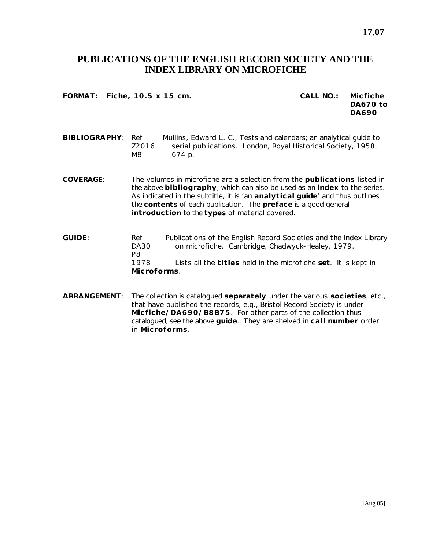## **PUBLICATIONS OF THE ENGLISH RECORD SOCIETY AND THE INDEX LIBRARY ON MICROFICHE**

**FORMAT: Fiche, 10.5 x 15 cm. CALL NO.: Micfiche**

**DA670 to DA690**

**BIBLIOGRAPHY**: Ref Mullins, Edward L. C., *Tests and calendars; an analytical guide to* Z2016 *serial publications*. London, Royal Historical Society, 1958. M8 674 p.

**COVERAGE**: The volumes in microfiche are a selection from the **publications** listed in the above **bibliography**, which can also be used as an **index** to the series. As indicated in the subtitle, it is 'an **analytical guide**' and thus outlines the **contents** of each publication. The **preface** is a good general **introduction** to the **types** of material covered.

- **GUIDE**: Ref *Publications of the English Record Societies and the Index Library* DA30 *on microfiche*. Cambridge, Chadwyck-Healey, 1979. P8 1978 Lists all the **titles** held in the microfiche **set**. It is kept in **Microforms**.
- **ARRANGEMENT**: The collection is catalogued **separately** under the various **societies**, etc., that have published the records, e.g., Bristol Record Society is under **Micfiche/DA690/B8B75**. For other parts of the collection thus catalogued, see the above **guide**. They are shelved in **call number** order in **Microforms**.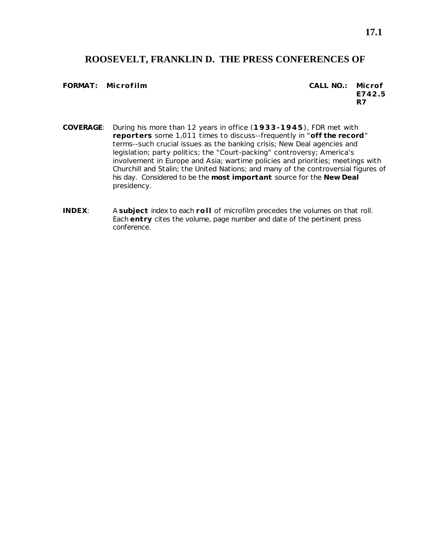### **ROOSEVELT, FRANKLIN D. THE PRESS CONFERENCES OF**

#### **FORMAT: Microfilm CALL NO.: Microf**

**E742.5 R7**

- **COVERAGE**: During his more than 12 years in office (**1933-1945**), FDR met with **reporters** some 1,011 times to discuss--frequently in "**off the record**" terms--such crucial issues as the banking crisis; New Deal agencies and legislation; party politics; the "Court-packing" controversy; America's involvement in Europe and Asia; wartime policies and priorities; meetings with Churchill and Stalin; the United Nations; and many of the controversial figures of his day. Considered to be the **most important** source for the **New Deal** presidency.
- **INDEX**: A **subject** index to each **roll** of microfilm precedes the volumes on that roll. Each **entry** cites the volume, page number and date of the pertinent press conference.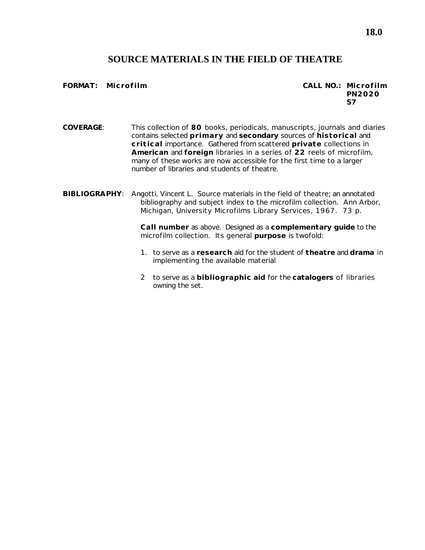## **SOURCE MATERIALS IN THE FIELD OF THEATRE**

#### **FORMAT: Microfilm CALL NO.: Microfilm**

**PN2020 S7**

- **COVERAGE**: This collection of **80** books, periodicals, manuscripts, journals and diaries contains selected **primary** and **secondary** sources of **historical** and **critical** importance. Gathered from scattered **private** collections in **American** and **foreign** libraries in a series of **22** reels of microfilm, many of these works are now accessible for the first time to a larger number of libraries and students of theatre.
- **BIBLIOGRAPHY**: Angotti, Vincent L. *Source materials in the field of theatre*; an annotated bibliography and subject index to the microfilm collection. Ann Arbor, Michigan, University Microfilms Library Services, 1967. 73 p.

**Call number** as above. Designed as a **complementary guide** to the microfilm collection. Its general **purpose** is twofold:

- 1. to serve as a **research** aid for the student of **theatre** and **drama** in implementing the available material
- 2 to serve as a **bibliographic aid** for the **catalogers** of libraries owning the set.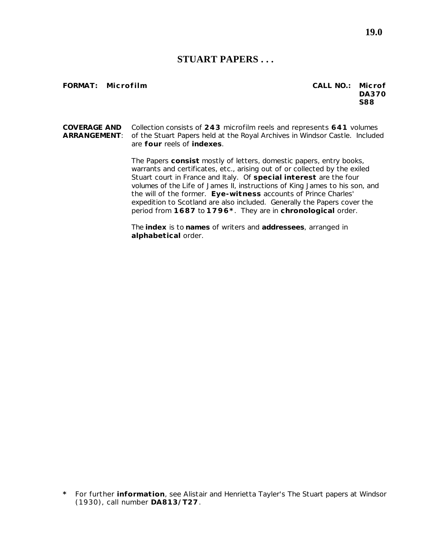### **STUART PAPERS . . .**

#### **FORMAT:** Microfilm **CALL ACCOUNTED C**

| CALL NO.: Microf |            |
|------------------|------------|
|                  | DA370      |
|                  | <b>S88</b> |

**COVERAGE AND** Collection consists of **243** microfilm reels and represents **641** volumes **ARRANGEMENT**: of the Stuart Papers held at the Royal Archives in Windsor Castle. Included are **four** reels of **indexes**.

> The Papers **consist** mostly of letters, domestic papers, entry books, warrants and certificates, etc., arising out of or collected by the exiled Stuart court in France and Italy. Of **special interest** are the four volumes of the *Life of James II*, instructions of King James to his son, and the will of the former. **Eye-witness** accounts of Prince Charles' expedition to Scotland are also included. Generally the Papers cover the period from **1687** to **1796\***. They are in **chronological** order.

The **index** is to **names** of writers and **addressees**, arranged in **alphabetical** order.

**\*** For further **information**, see Alistair and Henrietta Tayler's *The Stuart papers at Windsor* (1930), call number **DA813/T27**.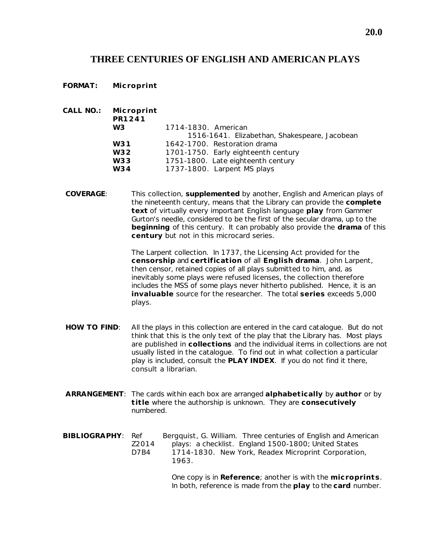## **THREE CENTURIES OF ENGLISH AND AMERICAN PLAYS**

**FORMAT: Microprint**

| CALL NO.: Microprint<br>PR1241 |                                               |
|--------------------------------|-----------------------------------------------|
| W3                             | 1714-1830. American                           |
|                                | 1516-1641. Elizabethan, Shakespeare, Jacobean |
| W31                            | 1642-1700. Restoration drama                  |
| W32                            | 1701-1750. Early eighteenth century           |
| W33                            | 1751-1800. Late eighteenth century            |
| W34                            | 1737-1800. Larpent MS plays                   |

**COVERAGE**: This collection, **supplemented** by another, *English and American plays of the nineteenth century*, means that the Library can provide the **complete text** of virtually every important English language **play** from *Gammer Gurton's needle*, considered to be the first of the secular drama, up to the **beginning** of this century. It can probably also provide the **drama** of this **century** but not in this microcard series.

> *The Larpent collection*. In 1737, the Licensing Act provided for the **censorship** and **certification** of all **English drama**. John Larpent, then censor, retained copies of all plays submitted to him, and, as inevitably some plays were refused licenses, the collection therefore includes the MSS of some plays never hitherto published. Hence, it is an **invaluable** source for the researcher. The total **series** exceeds 5,000 plays.

- **HOW TO FIND**: All the plays in this collection are entered in the card catalogue. But do not think that this is the only text of the play that the Library has. Most plays are published in **collections** and the individual items in collections are not usually listed in the catalogue. To find out in what collection a particular play is included, consult the **PLAY INDEX**. If you do not find it there, consult a librarian.
- **ARRANGEMENT**: The cards within each box are arranged **alphabetically** by **author** or by **title** where the authorship is unknown. They are **consecutively** numbered.
- **BIBLIOGRAPHY**: Ref Bergquist, G. William. *Three centuries of English and American* Z2014 *plays: a checklist*. England 1500-1800; United States D7B4 1714-1830. New York, Readex Microprint Corporation, 1963.

One copy is in **Reference**; another is with the **microprints**. In both, reference is made from the **play** to the **card** number.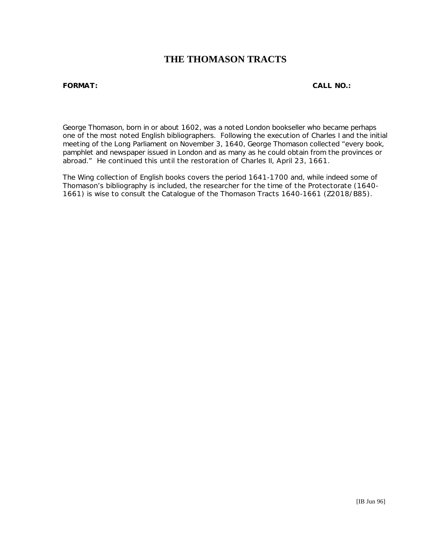## **THE THOMASON TRACTS**

#### **FORMAT: CALL NO.:**

George Thomason, born in or about 1602, was a noted London bookseller who became perhaps one of the most noted English bibliographers. Following the execution of Charles I and the initial meeting of the Long Parliament on November 3, 1640, George Thomason collected "every book, pamphlet and newspaper issued in London and as many as he could obtain from the provinces or abroad." He continued this until the restoration of Charles II, April 23, 1661.

The Wing collection of English books covers the period 1641-1700 and, while indeed some of Thomason's bibliography is included, the researcher for the time of the Protectorate (1640- 1661) is wise to consult the Catalogue of the Thomason Tracts 1640-1661 (Z2018/B85).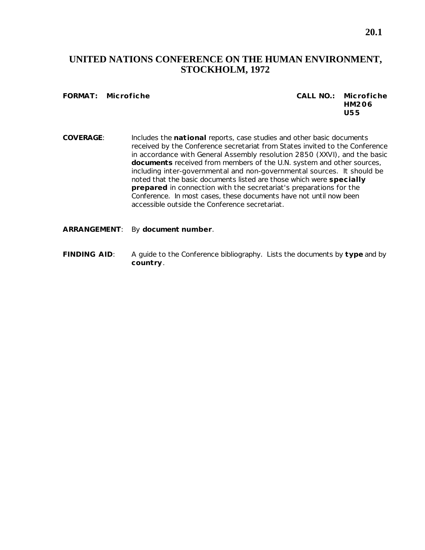## **UNITED NATIONS CONFERENCE ON THE HUMAN ENVIRONMENT, STOCKHOLM, 1972**

#### **FORMAT: Microfiche CALL NO.: Microfiche HM206 U55**

- **COVERAGE**: Includes the **national** reports, case studies and other basic documents received by the Conference secretariat from States invited to the Conference in accordance with General Assembly resolution 2850 (XXVI), and the basic **documents** received from members of the U.N. system and other sources, including inter-governmental and non-governmental sources. It should be noted that the basic documents listed are those which were **specially prepared** in connection with the secretariat's preparations for the Conference. In most cases, these documents have not until now been accessible outside the Conference secretariat.
- **ARRANGEMENT**: By **document number**.
- **FINDING AID**: *A guide to the Conference bibliography*. Lists the documents by **type** and by **country**.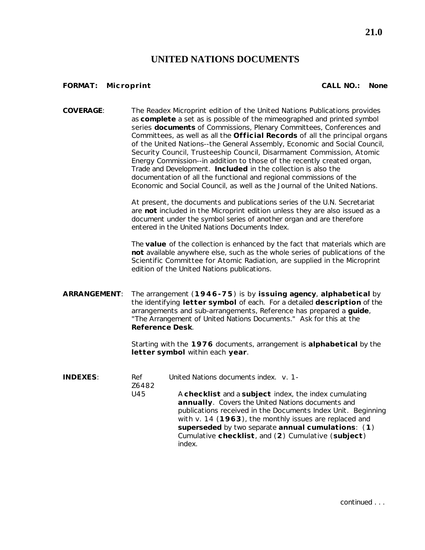### **UNITED NATIONS DOCUMENTS**

#### **FORMAT: Microprint CALL NO.: None**

**COVERAGE**: The Readex Microprint edition of the United Nations Publications provides as **complete** a set as is possible of the mimeographed and printed symbol series **documents** of Commissions, Plenary Committees, Conferences and Committees, as well as all the **Official Records** of all the principal organs of the United Nations--the General Assembly, Economic and Social Council, Security Council, Trusteeship Council, Disarmament Commission, Atomic Energy Commission--in addition to those of the recently created organ, Trade and Development. **Included** in the collection is also the documentation of all the functional and regional commissions of the Economic and Social Council, as well as the Journal of the United Nations.

> At present, the documents and publications series of the U.N. Secretariat are **not** included in the Microprint edition unless they are also issued as a document under the symbol series of another organ and are therefore entered in the United Nations Documents Index.

The **value** of the collection is enhanced by the fact that materials which are **not** available anywhere else, such as the whole series of publications of the Scientific Committee for Atomic Radiation, are supplied in the Microprint edition of the United Nations publications.

**ARRANGEMENT**: The arrangement (**1946-75**) is by **issuing agency**, **alphabetical** by the identifying **letter symbol** of each. For a detailed **description** of the arrangements and sub-arrangements, Reference has prepared a **guide**, "The Arrangement of United Nations Documents." Ask for this at the **Reference Desk**.

> Starting with the **1976** documents, arrangement is **alphabetical** by the **letter symbol** within each **year**.

| <b>INDEXES:</b> | Ref<br>Z6482 | United Nations documents index. v. 1-                                                                                                                                                                                                                                                                                                                      |
|-----------------|--------------|------------------------------------------------------------------------------------------------------------------------------------------------------------------------------------------------------------------------------------------------------------------------------------------------------------------------------------------------------------|
|                 | U45          | A checklist and a subject index, the index cumulating<br>annually. Covers the United Nations documents and<br>publications received in the Documents Index Unit. Beginning<br>with v. 14 (1963), the monthly issues are replaced and<br>superseded by two separate annual cumulations: (1)<br>Cumulative checklist, and (2) Cumulative (subject)<br>index. |

continued .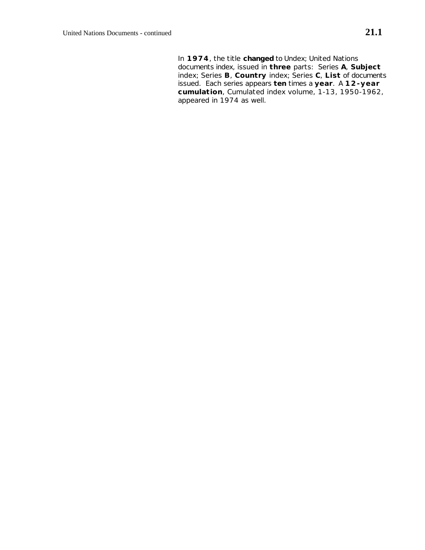In **1974**, the title **changed** to *Undex; United Nations documents index*, issued in **three** parts: Series **A**, **Subject** index; Series **B**, **Country** index; Series **C**, **List** of documents issued. Each series appears **ten** times a **year**. A **12-year cumulation**, *Cumulated index volume, 1-13, 1950-1962*, appeared in 1974 as well.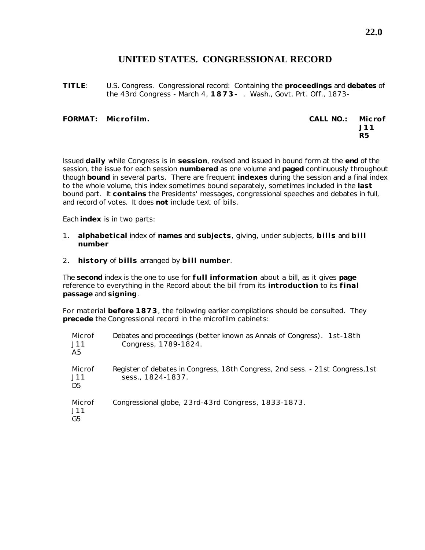## **UNITED STATES. CONGRESSIONAL RECORD**

**TITLE**: U.S. Congress. Congressional record: Containing the **proceedings** and **debates** of the 43rd Congress - March 4, **1873-** . Wash., Govt. Prt. Off., 1873-

#### **FORMAT: Microfilm. CALL NO.: Microf**

**J11 R5**

Issued **daily** while Congress is in **session**, revised and issued in bound form at the **end** of the session, the issue for each session **numbered** as one volume and **paged** continuously throughout though **bound** in several parts. There are frequent **indexes** during the session and a final index to the whole volume, this index sometimes bound separately, sometimes included in the **last** bound part. It **contains** the Presidents' messages, congressional speeches and debates in full, and record of votes. It does **not** include text of bills.

Each **index** is in two parts:

- 1. **alphabetical** index of **names** and **subjects**, giving, under subjects, **bills** and **bill number**
- 2. **history** of **bills** arranged by **bill number**.

The **second** index is the one to use for **full information** about a bill, as it gives **page** reference to everything in the *Record* about the bill from its **introduction** to its **final passage** and **signing**.

For material **before 1873**, the following earlier compilations should be consulted. They **precede** the *Congressional record* in the microfilm cabinets:

| Microf<br>J11<br>A5 | Debates and proceedings (better known as Annals of Congress). 1st-18th<br>Congress, 1789-1824.      |
|---------------------|-----------------------------------------------------------------------------------------------------|
| Microf<br>J11<br>D5 | Register of debates in Congress, 18th Congress, 2nd sess. - 21st Congress, 1st<br>sess., 1824-1837. |
| Microf<br>J11<br>G5 | Congressional globe, 23rd-43rd Congress, 1833-1873.                                                 |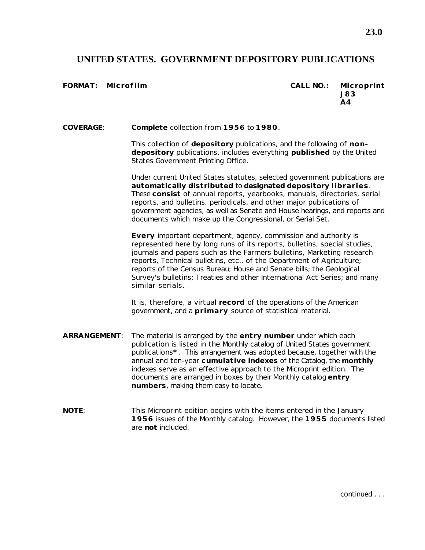## **UNITED STATES. GOVERNMENT DEPOSITORY PUBLICATIONS**

**FORMAT: Microfilm CALL NO.: Microprint J83 A4**

**COVERAGE**: **Complete** collection from **1956** to **1980**.

This collection of **depository** publications, and the following of **nondepository** publications, includes everything **published** by the United States Government Printing Office.

Under current United States statutes, selected government publications are **automatically distributed** to **designated depository libraries**. These **consist** of annual reports, yearbooks, manuals, directories, serial reports, and bulletins, periodicals, and other major publications of government agencies, as well as Senate and House hearings, and reports and documents which make up the Congressional, or Serial Set.

**Every** important department, agency, commission and authority is represented here by long runs of its reports, bulletins, special studies, journals and papers such as the Farmers bulletins, Marketing research reports, Technical bulletins, etc., of the Department of Agriculture; reports of the Census Bureau; House and Senate bills; the Geological Survey's bulletins; Treaties and other International Act Series; and many similar serials.

It is, therefore, a virtual **record** of the operations of the American government, and a **primary** source of statistical material.

- **ARRANGEMENT**: The material is arranged by the **entry number** under which each publication is listed in the *Monthly catalog of United States government publications***\*** . This arrangement was adopted because, together with the annual and ten-year **cumulative indexes** of the Catalog, the **monthly** indexes serve as an effective approach to the Microprint edition. The documents are arranged in boxes by their *Monthly catalog* **entry numbers**, making them easy to locate.
- **NOTE:** This Microprint edition begins with the items entered in the January **1956** issues of the *Monthly catalog*. However, the **1955** documents listed are **not** included.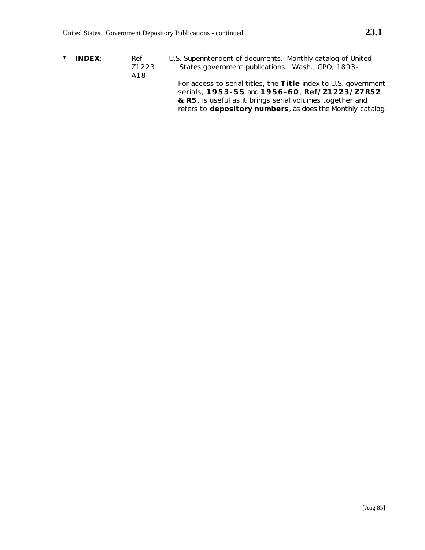- 
- **\* INDEX**: Ref U.S. Superintendent of documents. *Monthly catalog of United* Z1223 *States government publications*. Wash., GPO, 1893- A18 For access to serial titles, the **Title** index to U.S. government serials, **1953-55** and **1956-60**, **Ref/Z1223/Z7R52 & R5**, is useful as it brings serial volumes together and

refers to **depository numbers**, as does the *Monthly catalog*.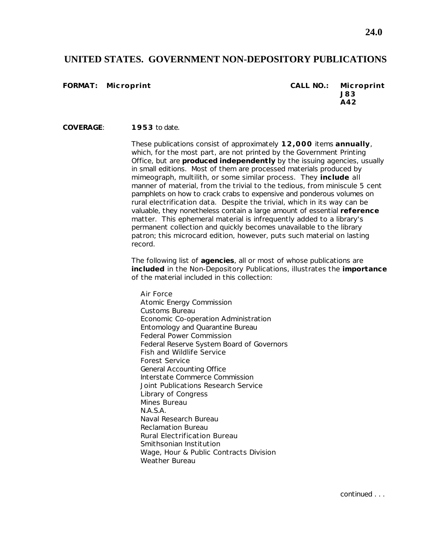#### **UNITED STATES. GOVERNMENT NON-DEPOSITORY PUBLICATIONS**

**FORMAT: Microprint CALL NO.: Microprint J83 A42**

**COVERAGE**: **1953** to date.

These publications consist of approximately **12,000** items **annually**, which, for the most part, are not printed by the Government Printing Office, but are **produced independently** by the issuing agencies, usually in small editions. Most of them are processed materials produced by mimeograph, multilith, or some similar process. They **include** all manner of material, from the trivial to the tedious, from miniscule 5 cent pamphlets on how to crack crabs to expensive and ponderous volumes on rural electrification data. Despite the trivial, which in its way can be valuable, they nonetheless contain a large amount of essential **reference** matter. This ephemeral material is infrequently added to a library's permanent collection and quickly becomes unavailable to the library patron; this microcard edition, however, puts such material on lasting record.

The following list of **agencies**, all or most of whose publications are **included** in the Non-Depository Publications, illustrates the **importance** of the material included in this collection:

Air Force Atomic Energy Commission Customs Bureau Economic Co-operation Administration Entomology and Quarantine Bureau Federal Power Commission Federal Reserve System Board of Governors Fish and Wildlife Service Forest Service General Accounting Office Interstate Commerce Commission Joint Publications Research Service Library of Congress Mines Bureau N.A.S.A. Naval Research Bureau Reclamation Bureau Rural Electrification Bureau Smithsonian Institution Wage, Hour & Public Contracts Division Weather Bureau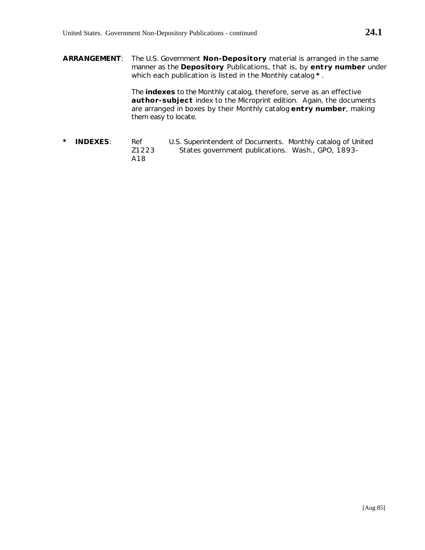**ARRANGEMENT**: The U.S. Government **Non-Depository** material is arranged in the same manner as the **Depository** Publications, that is, by **entry number** under which each publication is listed in the *Monthly catalog* **\*** .

> The **indexes** to the *Monthly catalog*, therefore, serve as an effective **author-subject** index to the Microprint edition. Again, the documents are arranged in boxes by their *Monthly catalog* **entry number**, making them easy to locate.

**\* INDEXES**: Ref U.S. Superintendent of Documents. *Monthly catalog of United* Z1223 *States government publications*. Wash., GPO, 1893- A18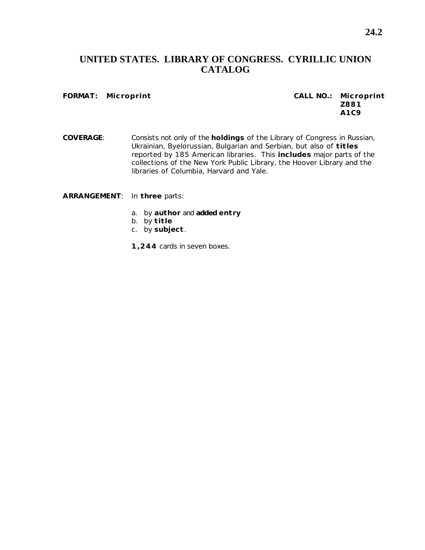## **UNITED STATES. LIBRARY OF CONGRESS. CYRILLIC UNION CATALOG**

#### **FORMAT: Microprint CALL NO.: Microprint**

# **Z881 A1C9**

**COVERAGE**: Consists not only of the **holdings** of the Library of Congress in Russian, Ukrainian, Byelorussian, Bulgarian and Serbian, but also of **titles** reported by 185 American libraries. This **includes** major parts of the collections of the New York Public Library, the Hoover Library and the libraries of Columbia, Harvard and Yale.

**ARRANGEMENT**: In **three** parts:

- a. by **author** and **added entry**
- b. by **title**
- c. by **subject**.
- **1,244** cards in seven boxes.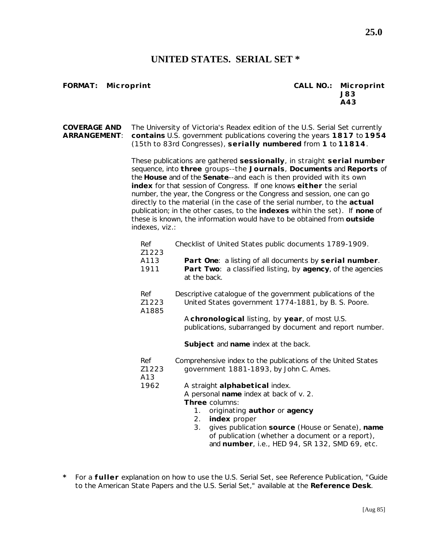### **UNITED STATES. SERIAL SET \***

#### **FORMAT: Microprint CALL NO.: Microprint J83 A43**

**COVERAGE AND** The University of Victoria's Readex edition of the U.S. Serial Set currently **ARRANGEMENT**: **contains** U.S. government publications covering the years **1817** to **1954** (15th to 83rd Congresses), **serially numbered** from **1** to **11814**.

> These publications are gathered **sessionally**, in straight **serial number** sequence, into **three** groups--the **Journals**, **Documents** and **Reports** of the **House** and of the **Senate**--and each is then provided with its own **index** for that session of Congress. If one knows **either** the serial number, the year, the Congress or the Congress and session, one can go directly to the material (in the case of the serial number, to the **actual** publication; in the other cases, to the **indexes** within the set). If **none** of these is known, the information would have to be obtained from **outside** indexes, viz.:

| Ref<br>Z1223          | Checklist of United States public documents 1789-1909.                                                                                                                                                           |
|-----------------------|------------------------------------------------------------------------------------------------------------------------------------------------------------------------------------------------------------------|
| A113<br>1911          | Part One: a listing of all documents by serial number.<br>Part Two: a classified listing, by agency, of the agencies<br>at the back.                                                                             |
| Ref<br>Z1223<br>A1885 | Descriptive catalogue of the government publications of the<br>United States government 1774-1881, by B. S. Poore.                                                                                               |
|                       | A chronological listing, by year, of most U.S.<br>publications, subarranged by document and report number.                                                                                                       |
|                       | Subject and name index at the back.                                                                                                                                                                              |
| Ref<br>Z1223<br>A13   | Comprehensive index to the publications of the United States<br>government 1881-1893, by John C. Ames.                                                                                                           |
| 1962                  | A straight alphabetical index.<br>A personal name index at back of v. 2.<br>Three columns:<br>originating author or agency<br>1.<br>index proper<br>2.<br>gives publication source (House or Senate), name<br>3. |
|                       | of publication (whether a document or a report),<br>and number, i.e., HED 94, SR 132, SMD 69, etc.                                                                                                               |

**\*** For a **fuller** explanation on how to use the U.S. Serial Set, see Reference Publication, "Guide to the American State Papers and the U.S. Serial Set," available at the **Reference Desk**.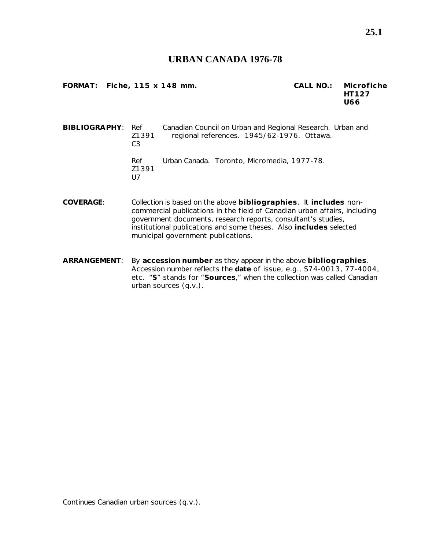#### **URBAN CANADA 1976-78**

**FORMAT: Fiche, 115 x 148 mm. CALL NO.: Microfiche**

**HT127 U66**

**BIBLIOGRAPHY**: Ref Canadian Council on Urban and Regional Research. *Urban and* Z1391 *regional references*. 1945/62-1976. Ottawa.  $C<sub>3</sub>$ Ref *Urban Canada*. Toronto, Micromedia, 1977-78. Z1391 U7

- **COVERAGE**: Collection is based on the above **bibliographies**. It **includes** noncommercial publications in the field of Canadian urban affairs, including government documents, research reports, consultant's studies, institutional publications and some theses. Also **includes** selected municipal government publications.
- **ARRANGEMENT**: By **accession number** as they appear in the above **bibliographies**. Accession number reflects the **date** of issue, e.g., S74-0013, 77-4004, etc. "**S**" stands for "**Sources**," when the collection was called *Canadian urban sources* (q.v.).

Continues *Canadian urban sources* (q.v.).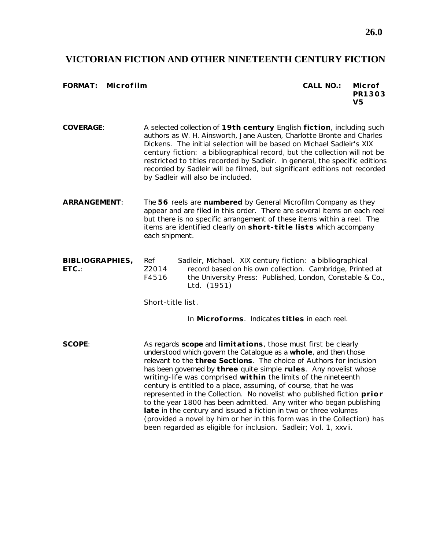#### **VICTORIAN FICTION AND OTHER NINETEENTH CENTURY FICTION**

#### **FORMAT: Microfilm CALL NO.: Microf**

**PR1303 V5**

- **COVERAGE**: A selected collection of **19th century** English **fiction**, including such authors as W. H. Ainsworth, Jane Austen, Charlotte Bronte and Charles Dickens. The initial selection will be based on Michael Sadleir's *XIX century fiction: a bibliographical record*, but the collection will not be restricted to titles recorded by Sadleir. In general, the specific editions recorded by Sadleir will be filmed, but significant editions not recorded by Sadleir will also be included.
- **ARRANGEMENT**: The **56** reels are **numbered** by General Microfilm Company as they appear and are filed in this order. There are several items on each reel but there is no specific arrangement of these items within a reel. The items are identified clearly on **short-title lists** which accompany each shipment.
- **BIBLIOGRAPHIES,** Ref Sadleir, Michael. *XIX century fiction: a bibliographical* **ETC.**: Z2014 *record based on his own collection*. Cambridge, Printed at F4516 the University Press: Published, London, Constable & Co., Ltd. (1951)

*Short-title list*.

In **Microforms**. Indicates **titles** in each reel.

**SCOPE**: As regards **scope** and **limitations**, those must first be clearly understood which govern the Catalogue as a **whole**, and then those relevant to the **three Sections**. The choice of Authors for inclusion has been governed by **three** quite simple **rules**. Any novelist whose writing-life was comprised **within** the limits of the nineteenth century is entitled to a place, assuming, of course, that he was represented in the Collection. No novelist who published fiction **prior** to the year 1800 has been admitted. Any writer who began publishing **late** in the century and issued a fiction in two or three volumes (provided a novel by him or her in this form was in the Collection) has been regarded as eligible for inclusion. Sadleir; Vol. 1, xxvii.